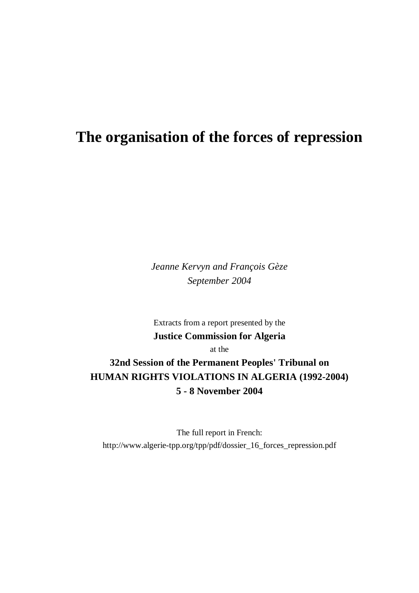# **The organisation of the forces of repression**

*Jeanne Kervyn and François Gèze September 2004*

Extracts from a report presented by the **Justice Commission for Algeria**

at the

**32nd Session of the Permanent Peoples' Tribunal on HUMAN RIGHTS VIOLATIONS IN ALGERIA (1992-2004) 5 - 8 November 2004**

The full report in French: http://www.algerie-tpp.org/tpp/pdf/dossier\_16\_forces\_repression.pdf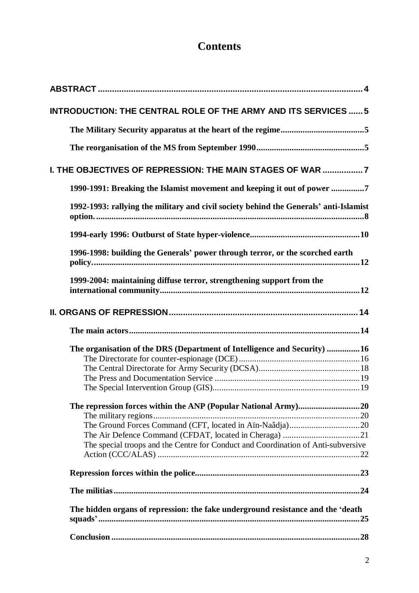# **Contents**

| <b>INTRODUCTION: THE CENTRAL ROLE OF THE ARMY AND ITS SERVICES  5</b>                 |
|---------------------------------------------------------------------------------------|
|                                                                                       |
|                                                                                       |
| I. THE OBJECTIVES OF REPRESSION: THE MAIN STAGES OF WAR 7                             |
| 1990-1991: Breaking the Islamist movement and keeping it out of power 7               |
| 1992-1993: rallying the military and civil society behind the Generals' anti-Islamist |
|                                                                                       |
| 1996-1998: building the Generals' power through terror, or the scorched earth         |
| 1999-2004: maintaining diffuse terror, strengthening support from the                 |
|                                                                                       |
|                                                                                       |
| The organisation of the DRS (Department of Intelligence and Security)  16             |
|                                                                                       |
|                                                                                       |
|                                                                                       |
|                                                                                       |
|                                                                                       |
|                                                                                       |
|                                                                                       |
|                                                                                       |
| The special troops and the Centre for Conduct and Coordination of Anti-subversive     |
|                                                                                       |
|                                                                                       |
|                                                                                       |
| The hidden organs of repression: the fake underground resistance and the 'death       |
|                                                                                       |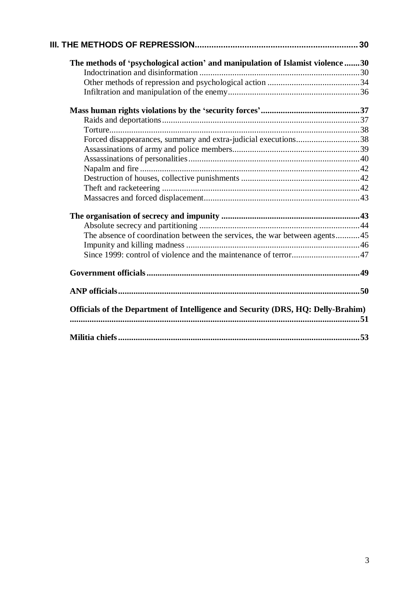| The methods of 'psychological action' and manipulation of Islamist violence 30   |  |
|----------------------------------------------------------------------------------|--|
|                                                                                  |  |
|                                                                                  |  |
|                                                                                  |  |
|                                                                                  |  |
|                                                                                  |  |
|                                                                                  |  |
| Forced disappearances, summary and extra-judicial executions38                   |  |
|                                                                                  |  |
|                                                                                  |  |
|                                                                                  |  |
|                                                                                  |  |
|                                                                                  |  |
|                                                                                  |  |
|                                                                                  |  |
|                                                                                  |  |
| The absence of coordination between the services, the war between agents45       |  |
|                                                                                  |  |
|                                                                                  |  |
|                                                                                  |  |
|                                                                                  |  |
| Officials of the Department of Intelligence and Security (DRS, HQ: Delly-Brahim) |  |
|                                                                                  |  |
|                                                                                  |  |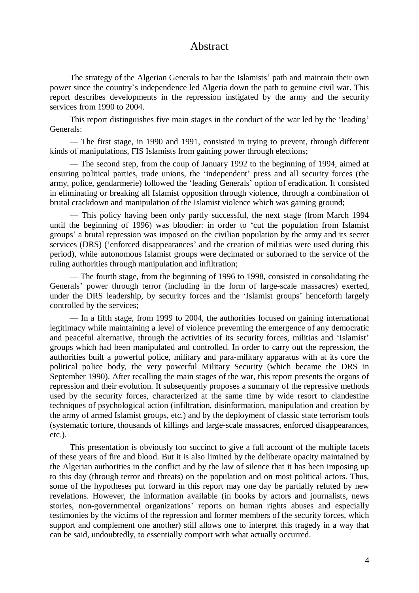# Abstract

The strategy of the Algerian Generals to bar the Islamists' path and maintain their own power since the country's independence led Algeria down the path to genuine civil war. This report describes developments in the repression instigated by the army and the security services from 1990 to 2004.

This report distinguishes five main stages in the conduct of the war led by the 'leading' Generals:

— The first stage, in 1990 and 1991, consisted in trying to prevent, through different kinds of manipulations, FIS Islamists from gaining power through elections;

— The second step, from the coup of January 1992 to the beginning of 1994, aimed at ensuring political parties, trade unions, the 'independent' press and all security forces (the army, police, gendarmerie) followed the 'leading Generals'option of eradication. It consisted in eliminating or breaking all Islamist opposition through violence, through a combination of brutal crackdown and manipulation of the Islamist violence which was gaining ground;

— This policy having been only partly successful, the next stage (from March 1994 until the beginning of 1996) was bloodier: in order to 'cut the population from Islamist groups' a brutal repression was imposed on the civilian population by the army and its secret services (DRS) ('enforced disappearances' and the creation of militias were used during this period), while autonomous Islamist groups were decimated or suborned to the service of the ruling authorities through manipulation and infiltration;

— The fourth stage, from the beginning of 1996 to 1998, consisted in consolidating the Generals' power through terror (including in the form of large-scale massacres) exerted, under the DRS leadership, by security forces and the 'Islamist groups' henceforth largely controlled by the services;

— In a fifth stage, from 1999 to 2004, the authorities focused on gaining international legitimacy while maintaining a level of violence preventing the emergence of any democratic and peaceful alternative, through the activities of its security forces, militias and 'Islamist' groups which had been manipulated and controlled. In order to carry out the repression, the authorities built a powerful police, military and para-military apparatus with at its core the political police body, the very powerful Military Security (which became the DRS in September 1990). After recalling the main stages of the war, this report presents the organs of repression and their evolution. It subsequently proposes a summary of the repressive methods used by the security forces, characterized at the same time by wide resort to clandestine techniques of psychological action (infiltration, disinformation, manipulation and creation by the army of armed Islamist groups, etc.) and by the deployment of classic state terrorism tools (systematic torture, thousands of killings and large-scale massacres, enforced disappearances, etc.).

This presentation is obviously too succinct to give a full account of the multiple facets of these years of fire and blood. But it is also limited by the deliberate opacity maintained by the Algerian authorities in the conflict and by the law of silence that it has been imposing up to this day (through terror and threats) on the population and on most political actors. Thus, some of the hypotheses put forward in this report may one day be partially refuted by new revelations. However, the information available (in books by actors and journalists, news stories, non-governmental organizations' reports on human rights abuses and especially testimonies by the victims of the repression and former members of the security forces, which support and complement one another) still allows one to interpret this tragedy in a way that can be said, undoubtedly, to essentially comport with what actually occurred.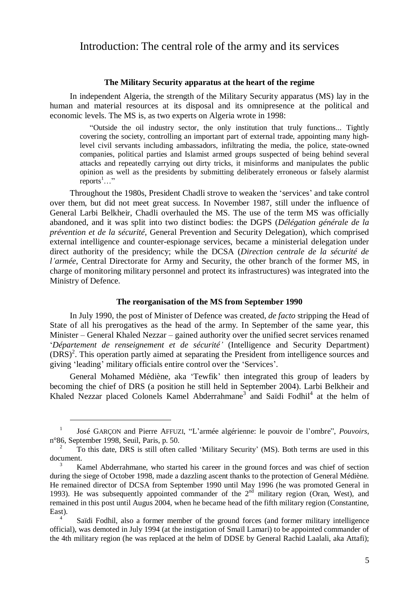# Introduction: The central role of the army and its services

#### **The Military Security apparatus at the heart of the regime**

In independent Algeria, the strength of the Military Security apparatus (MS) lay in the human and material resources at its disposal and its omnipresence at the political and economic levels. The MS is, as two experts on Algeria wrote in 1998:

"Outside the oil industry sector, the only institution that truly functions... Tightly covering the society, controlling an important part of external trade, appointing many highlevel civil servants including ambassadors, infiltrating the media, the police, state-owned companies, political parties and Islamist armed groups suspected of being behind several attacks and repeatedly carrying out dirty tricks, it misinforms and manipulates the public opinion as well as the presidents by submitting deliberately erroneous or falsely alarmist reports<sup>1</sup>..."

Throughout the 1980s, President Chadli strove to weaken the 'services' and take control over them, but did not meet great success. In November 1987, still under the influence of General Larbi Belkheir, Chadli overhauled the MS. The use of the term MS was officially abandoned, and it was split into two distinct bodies: the DGPS (*Délégation générale de la prévention et de la sécurité*, General Prevention and Security Delegation), which comprised external intelligence and counter-espionage services, became a ministerial delegation under direct authority of the presidency; while the DCSA (*Direction centrale de la sécurité de l'armée*, Central Directorate for Army and Security, the other branch of the former MS, in charge of monitoring military personnel and protect its infrastructures) was integrated into the Ministry of Defence.

#### **The reorganisation of the MS from September 1990**

In July 1990, the post of Minister of Defence was created, *de facto* stripping the Head of State of all his prerogatives as the head of the army. In September of the same year, this Minister – General Khaled Nezzar – gained authority over the unified secret services renamed '*Département de renseignement et de sécurité'*(Intelligence and Security Department) (DRS)<sup>2</sup>. This operation partly aimed at separating the President from intelligence sources and giving 'leading' military officials entire control over the 'Services'.

General Mohamed Médiène, aka 'Tewfik' then integrated this group of leaders by becoming the chief of DRS (a position he still held in September 2004). Larbi Belkheir and Khaled Nezzar placed Colonels Kamel Abderrahmane<sup>3</sup> and Saïdi Fodhil<sup>4</sup> at the helm of

<sup>1</sup> José GARÇON and Pierre AFFUZI, "L'armée algérienne: le pouvoir de l'ombre", *Pouvoirs*, n°86, September 1998, Seuil, Paris, p. 50.

<sup>2</sup> To this date, DRS is still often called 'Military Security' (MS). Both terms are used in this document.

<sup>3</sup> Kamel Abderrahmane, who started his career in the ground forces and was chief of section during the siege of October 1998, made a dazzling ascent thanks to the protection of General Médiène. He remained director of DCSA from September 1990 until May 1996 (he was promoted General in 1993). He was subsequently appointed commander of the  $2<sup>nd</sup>$  military region (Oran, West), and remained in this post until Augus 2004, when he became head of the fifth military region (Constantine, East).

<sup>4</sup> Saïdi Fodhil, also a former member of the ground forces (and former military intelligence official), was demoted in July 1994 (at the instigation of Smaïl Lamari) to be appointed commander of the 4th military region (he was replaced at the helm of DDSE by General Rachid Laalali, aka Attafi);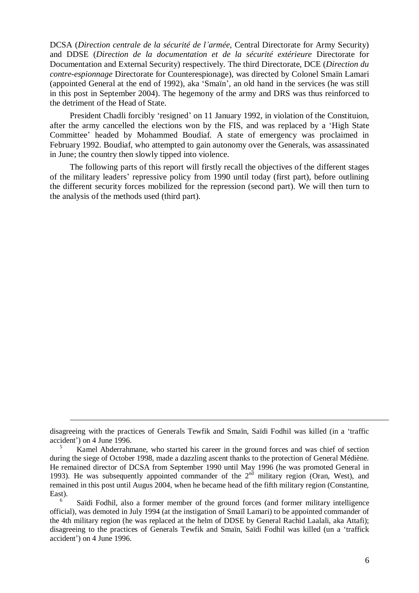DCSA (*Direction centrale de la sécurité de l'armée,* Central Directorate for Army Security) and DDSE (*Direction de la documentation et de la sécurité extérieure* Directorate for Documentation and External Security) respectively. The third Directorate, DCE (*Direction du contre-espionnage* Directorate for Counterespionage), was directed by Colonel Smaïn Lamari (appointed General at the end of 1992), aka 'Smaïn', an old hand in the services (he was still in this post in September 2004). The hegemony of the army and DRS was thus reinforced to the detriment of the Head of State.

President Chadli forcibly 'resigned' on 11 January 1992, in violation of the Constituion, after the army cancelled the elections won by the FIS, and was replaced by a 'High State Committee' headed by Mohammed Boudiaf. A state of emergency was proclaimed in February 1992. Boudiaf, who attempted to gain autonomy over the Generals, was assassinated in June; the country then slowly tipped into violence.

The following parts of this report will firstly recall the objectives of the different stages of the military leaders' repressive policy from 1990 until today (first part), before outlining the different security forces mobilized for the repression (second part). We will then turn to the analysis of the methods used (third part).

disagreeing with the practices of Generals Tewfik and Smaïn, Saïdi Fodhil was killed (in a 'traffic accident') on 4 June 1996.

<sup>5</sup> Kamel Abderrahmane, who started his career in the ground forces and was chief of section during the siege of October 1998, made a dazzling ascent thanks to the protection of General Médiène. He remained director of DCSA from September 1990 until May 1996 (he was promoted General in 1993). He was subsequently appointed commander of the  $2<sup>nd</sup>$  military region (Oran, West), and remained in this post until Augus 2004, when he became head of the fifth military region (Constantine, East).

<sup>6</sup> Saïdi Fodhil, also a former member of the ground forces (and former military intelligence official), was demoted in July 1994 (at the instigation of Smaïl Lamari) to be appointed commander of the 4th military region (he was replaced at the helm of DDSE by General Rachid Laalali, aka Attafi); disagreeing to the practices of Generals Tewfik and Smaïn, Saïdi Fodhil was killed (un a 'traffick accident') on 4 June 1996.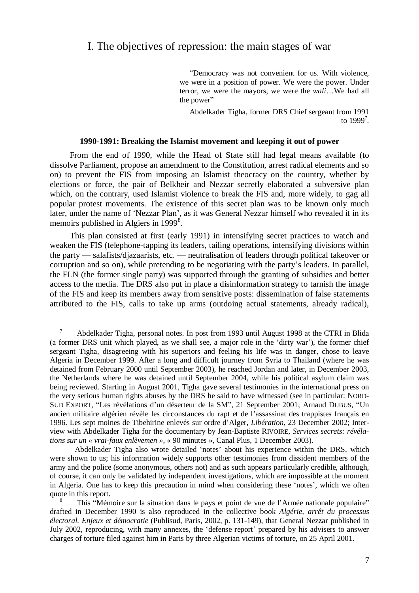# I. The objectives of repression: the main stages of war

"Democracy was not convenient for us. With violence, we were in a position of power. We were the power. Under terror, we were the mayors, we were the *wali*…We had all the power"

Abdelkader Tigha, former DRS Chief sergeant from 1991 to  $1999^7$ .

#### **1990-1991: Breaking the Islamist movement and keeping it out of power**

From the end of 1990, while the Head of State still had legal means available (to dissolve Parliament, propose an amendment to the Constitution, arrest radical elements and so on) to prevent the FIS from imposing an Islamist theocracy on the country, whether by elections or force, the pair of Belkheir and Nezzar secretly elaborated a subversive plan which, on the contrary, used Islamist violence to break the FIS and, more widely, to gag all popular protest movements. The existence of this secret plan was to be known only much later, under the name of 'Nezzar Plan', as it was General Nezzar himself who revealed it in its memoirs published in Algiers in 1999<sup>8</sup>.

This plan consisted at first (early 1991) in intensifying secret practices to watch and weaken the FIS (telephone-tapping its leaders, tailing operations, intensifying divisions within the party — salafists/djazaarists, etc. — neutralisation of leaders through political takeover or corruption and so on), while pretending to be negotiating with the party's leaders. In parallel, the FLN (the former single party) was supported through the granting of subsidies and better access to the media. The DRS also put in place a disinformation strategy to tarnish the image of the FIS and keep its members away from sensitive posts: dissemination of false statements attributed to the FIS, calls to take up arms (outdoing actual statements, already radical),

<sup>7</sup> Abdelkader Tigha, personal notes. In post from 1993 until August 1998 at the CTRI in Blida (a former DRS unit which played, as we shall see, a major role in the 'dirty war'), the former chief sergeant Tigha, disagreeing with his superiors and feeling his life was in danger, chose to leave Algeria in December 1999. After a long and difficult journey from Syria to Thailand (where he was detained from February 2000 until September 2003), he reached Jordan and later, in December 2003, the Netherlands where he was detained until September 2004, while his political asylum claim was being reviewed. Starting in August 2001, Tigha gave several testimonies in the international press on the very serious human rights abuses by the DRS he said to have witnessed (see in particular: NORD-SUD EXPORT, "Les révélations d'un déserteur de la SM", 21 September 2001; Arnaud DUBUS, "Un ancien militaire algérien révèle les circonstances du rapt et de l'assassinat des trappistes français en 1996. Les sept moines de Tibehirine enlevés sur ordre d'Alger, *Libération*, 23 December 2002; Interview with Abdelkader Tigha for the documentary by Jean-Baptiste RIVOIRE, *Services secrets: révélations sur un « vrai-faux enlèvemen »*, « 90 minutes », Canal Plus, 1 December 2003).

Abdelkader Tigha also wrote detailed 'notes' about his experience within the DRS, which were shown to us; his information widely supports other testimonies from dissident members of the army and the police (some anonymous, others not) and as such appears particularly credible, although, of course, it can only be validated by independent investigations, which are impossible at the moment in Algeria. One has to keep this precaution in mind when considering these 'notes', which we often quote in this report.

<sup>8</sup> This "Mémoire sur la situation dans le pays et point de vue de l'Armée nationale populaire" drafted in December 1990 is also reproduced in the collective book *Algérie, arrêt du processus électoral. Enjeux et démocratie* (Publisud, Paris, 2002, p. 131-149), that General Nezzar published in July 2002, reproducing, with many annexes, the 'defense report' prepared by his advisers to answer charges of torture filed against him in Paris by three Algerian victims of torture, on 25 April 2001.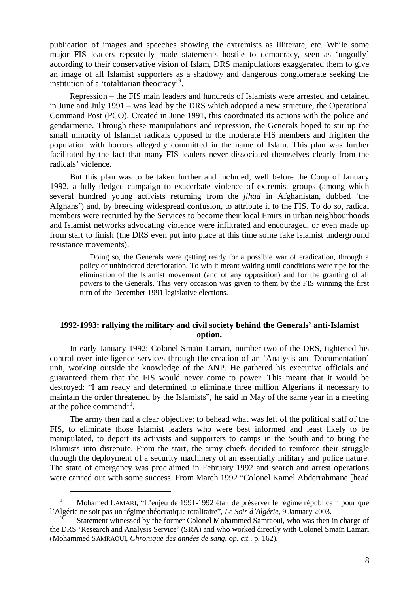publication of images and speeches showing the extremists as illiterate, etc. While some major FIS leaders repeatedly made statements hostile to democracy, seen as 'ungodly' according to their conservative vision of Islam, DRS manipulations exaggerated them to give an image of all Islamist supporters as a shadowy and dangerous conglomerate seeking the institution of a 'totalitarian theocracy'<sup>9</sup> .

Repression – the FIS main leaders and hundreds of Islamists were arrested and detained in June and July 1991 – was lead by the DRS which adopted a new structure, the Operational Command Post (PCO). Created in June 1991, this coordinated its actions with the police and gendarmerie. Through these manipulations and repression, the Generals hoped to stir up the small minority of Islamist radicals opposed to the moderate FIS members and frighten the population with horrors allegedly committed in the name of Islam. This plan was further facilitated by the fact that many FIS leaders never dissociated themselves clearly from the radicals' violence.

But this plan was to be taken further and included, well before the Coup of January 1992, a fully-fledged campaign to exacerbate violence of extremist groups (among which several hundred young activists returning from the *jihad* in Afghanistan, dubbed 'the Afghans') and, by breeding widespread confusion, to attribute it to the FIS. To do so, radical members were recruited by the Services to become their local Emirs in urban neighbourhoods and Islamist networks advocating violence were infiltrated and encouraged, or even made up from start to finish (the DRS even put into place at this time some fake Islamist underground resistance movements).

Doing so, the Generals were getting ready for a possible war of eradication, through a policy of unhindered deterioration. To win it meant waiting until conditions were ripe for the elimination of the Islamist movement (and of any opposition) and for the granting of all powers to the Generals. This very occasion was given to them by the FIS winning the first turn of the December 1991 legislative elections.

#### **1992-1993: rallying the military and civil society behind the Generals' anti-Islamist option.**

In early January 1992: Colonel Smaïn Lamari, number two of the DRS, tightened his control over intelligence services through the creation of an 'Analysis and Documentation' unit, working outside the knowledge of the ANP. He gathered his executive officials and guaranteed them that the FIS would never come to power. This meant that it would be destroyed: "I am ready and determined to eliminate three million Algerians if necessary to maintain the order threatened by the Islamists", he said in May of the same year in a meeting at the police command $10$ .

The army then had a clear objective: to behead what was left of the political staff of the FIS, to eliminate those Islamist leaders who were best informed and least likely to be manipulated, to deport its activists and supporters to camps in the South and to bring the Islamists into disrepute. From the start, the army chiefs decided to reinforce their struggle through the deployment of a security machinery of an essentially military and police nature. The state of emergency was proclaimed in February 1992 and search and arrest operations were carried out with some success. From March 1992 "Colonel Kamel Abderrahmane [head

<sup>9</sup> Mohamed LAMARI, "L'enjeu de 1991-1992 était de préserver le régime républicain pour que l'Algérie ne soit pas un régime théocratique totalitaire", *Le Soir d'Algérie*, 9 January 2003.

Statement witnessed by the former Colonel Mohammed Samraoui, who was then in charge of the DRS 'Research and Analysis Service' (SRA) and who worked directly with Colonel Smaïn Lamari (Mohammed SAMRAOUI, *Chronique des années de sang*, *op. cit.*, p. 162).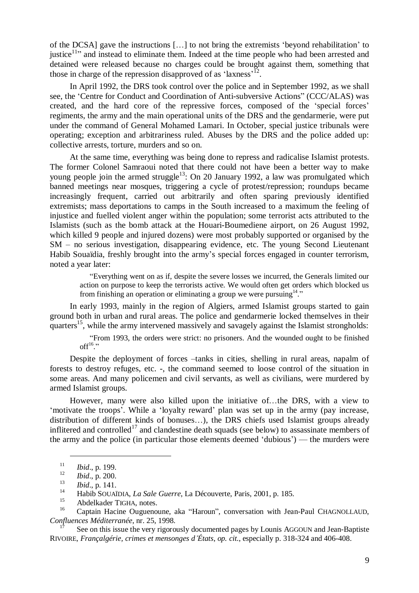of the DCSA] gave the instructions […] to not bring the extremists 'beyond rehabilitation' to justice<sup>11</sup> $\cdot$  and instead to eliminate them. Indeed at the time people who had been arrested and detained were released because no charges could be brought against them, something that those in charge of the repression disapproved of as 'laxness'<sup>12</sup>.

In April 1992, the DRS took control over the police and in September 1992, as we shall see, the 'Centre for Conduct and Coordination of Anti-subversive Actions" (CCC/ALAS) was created, and the hard core of the repressive forces, composed of the 'special forces' regiments, the army and the main operational units of the DRS and the gendarmerie, were put under the command of General Mohamed Lamari. In October, special justice tribunals were operating; exception and arbitrariness ruled. Abuses by the DRS and the police added up: collective arrests, torture, murders and so on.

At the same time, everything was being done to repress and radicalise Islamist protests. The former Colonel Samraoui noted that there could not have been a better way to make young people join the armed struggle<sup>13</sup>: On 20 January 1992, a law was promulgated which banned meetings near mosques, triggering a cycle of protest/repression; roundups became increasingly frequent, carried out arbitrarily and often sparing previously identified extremists; mass deportations to camps in the South increased to a maximum the feeling of injustice and fuelled violent anger within the population; some terrorist acts attributed to the Islamists (such as the bomb attack at the Houari-Boumediene airport, on 26 August 1992, which killed 9 people and injured dozens) were most probably supported or organised by the SM – no serious investigation, disappearing evidence, etc. The young Second Lieutenant Habib Souaïdia, freshly brought into the army's special forces engaged in counter terrorism, noted a year later:

"Everything went on as if, despite the severe losses we incurred, the Generals limited our action on purpose to keep the terrorists active. We would often get orders which blocked us from finishing an operation or eliminating a group we were pursuing  $14$ ."

In early 1993, mainly in the region of Algiers, armed Islamist groups started to gain ground both in urban and rural areas. The police and gendarmerie locked themselves in their quarters<sup>15</sup>, while the army intervened massively and savagely against the Islamist strongholds:

"From 1993, the orders were strict: no prisoners. And the wounded ought to be finished off<sup>16</sup> $\cdot$ "

Despite the deployment of forces –tanks in cities, shelling in rural areas, napalm of forests to destroy refuges, etc. -, the command seemed to loose control of the situation in some areas. And many policemen and civil servants, as well as civilians, were murdered by armed Islamist groups.

However, many were also killed upon the initiative of…the DRS, with a view to 'motivate the troops'. While a 'loyalty reward' plan was set up in the army (pay increase, distribution of different kinds of bonuses…), the DRS chiefs used Islamist groups already inflitered and controlled<sup>17</sup> and clandestine death squads (see below) to assassinate members of the army and the police (in particular those elements deemed 'dubious') — the murders were

 $\frac{11}{12}$  *Ibid.*, p. 199.

 $\frac{12}{13}$  *Ibid.*, p. 200.

<sup>13</sup> *Ibid*., p. 141.

<sup>14</sup> Habib SOUAÏDIA, *La Sale Guerre*, La Découverte, Paris, 2001, p. 185.

 $^{15}$  Abdelkader TIGHA, notes.

Captain Hacine Ouguenoune, aka "Haroun", conversation with Jean-Paul CHAGNOLLAUD, *Confluences Méditerranée*, nr. 25, 1998.

See on this issue the very rigorously documented pages by Lounis AGGOUN and Jean-Baptiste RIVOIRE, *Françalgérie, crimes et mensonges d'États*, *op. cit*., especially p. 318-324 and 406-408.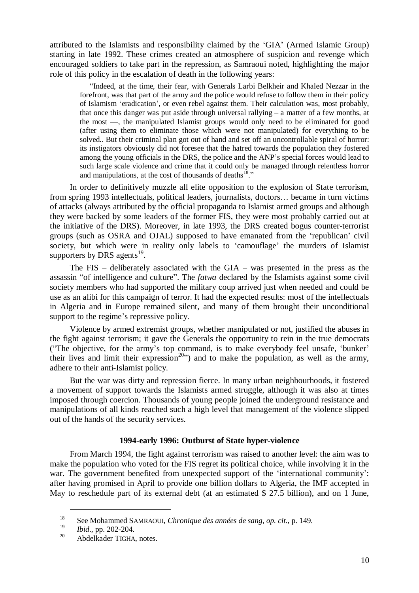attributed to the Islamists and responsibility claimed by the 'GIA' (Armed Islamic Group) starting in late 1992. These crimes created an atmosphere of suspicion and revenge which encouraged soldiers to take part in the repression, as Samraoui noted, highlighting the major role of this policy in the escalation of death in the following years:

"Indeed, at the time, their fear, with Generals Larbi Belkheir and Khaled Nezzar in the forefront, was that part of the army and the police would refuse to follow them in their policy of Islamism 'eradication', or even rebel against them. Their calculation was, most probably, that once this danger was put aside through universal rallying – a matter of a few months, at the most —, the manipulated Islamist groups would only need to be eliminated for good (after using them to eliminate those which were not manipulated) for everything to be solved.. But their criminal plan got out of hand and set off an uncontrollable spiral of horror: its instigators obviously did not foresee that the hatred towards the population they fostered among the young officials in the DRS, the police and the ANP's special forces would lead to such large scale violence and crime that it could only be managed through relentless horror and manipulations, at the cost of thousands of deaths<sup>18</sup>."

In order to definitively muzzle all elite opposition to the explosion of State terrorism, from spring 1993 intellectuals, political leaders, journalists, doctors… became in turn victims of attacks (always attributed by the official propaganda to Islamist armed groups and although they were backed by some leaders of the former FIS, they were most probably carried out at the initiative of the DRS). Moreover, in late 1993, the DRS created bogus counter-terrorist groups (such as OSRA and OJAL) supposed to have emanated from the 'republican' civil society, but which were in reality only labels to 'camouflage' the murders of Islamist supporters by DRS agents $^{19}$ .

The FIS – deliberately associated with the GIA – was presented in the press as the assassin "of intelligence and culture". The *fatwa* declared by the Islamists against some civil society members who had supported the military coup arrived just when needed and could be use as an alibi for this campaign of terror. It had the expected results: most of the intellectuals in Algeria and in Europe remained silent, and many of them brought their unconditional support to the regime's repressive policy.

Violence by armed extremist groups, whether manipulated or not, justified the abuses in the fight against terrorism; it gave the Generals the opportunity to rein in the true democrats ("The objective, for the army's top command, is to make everybody feel unsafe, 'bunker' their lives and limit their expression<sup>20</sup>") and to make the population, as well as the army, adhere to their anti-Islamist policy.

But the war was dirty and repression fierce. In many urban neighbourhoods, it fostered a movement of support towards the Islamists armed struggle, although it was also at times imposed through coercion. Thousands of young people joined the underground resistance and manipulations of all kinds reached such a high level that management of the violence slipped out of the hands of the security services.

#### **1994-early 1996: Outburst of State hyper-violence**

From March 1994, the fight against terrorism was raised to another level: the aim was to make the population who voted for the FIS regret its political choice, while involving it in the war. The government benefited from unexpected support of the 'international community': after having promised in April to provide one billion dollars to Algeria, the IMF accepted in May to reschedule part of its external debt (at an estimated \$ 27.5 billion), and on 1 June,

<sup>18</sup> See Mohammed SAMRAOUI, *Chronique des années de sang*, *op. cit.*, p. 149.

<sup>&</sup>lt;sup>19</sup> *Ibid.*, pp. 202-204.

Abdelkader TIGHA, notes.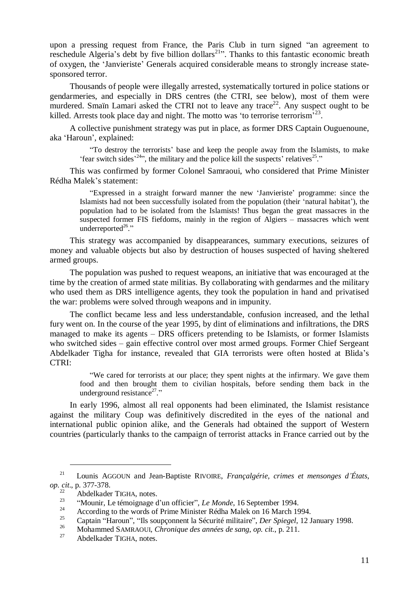upon a pressing request from France, the Paris Club in turn signed "an agreement to reschedule Algeria's debt by five billion dollars<sup>21</sup>". Thanks to this fantastic economic breath of oxygen, the 'Janvieriste' Generals acquired considerable means to strongly increase statesponsored terror.

Thousands of people were illegally arrested, systematically tortured in police stations or gendarmeries, and especially in DRS centres (the CTRI, see below), most of them were murdered. Smain Lamari asked the CTRI not to leave any trace<sup>22</sup>. Any suspect ought to be killed. Arrests took place day and night. The motto was 'to terrorise terrorism<sup>323</sup>.

A collective punishment strategy was put in place, as former DRS Captain Ouguenoune, aka 'Haroun', explained:

"To destroy the terrorists' base and keep the people away from the Islamists, to make 'fear switch sides<sup> $24$ </sup>", the military and the police kill the suspects' relatives<sup>25</sup>."

This was confirmed by former Colonel Samraoui, who considered that Prime Minister Rédha Malek's statement:

"Expressed in a straight forward manner the new 'Janvieriste'programme: since the Islamists had not been successfully isolated from the population (their 'natural habitat'), the population had to be isolated from the Islamists! Thus began the great massacres in the suspected former FIS fiefdoms, mainly in the region of Algiers – massacres which went underreported $26$ ."

This strategy was accompanied by disappearances, summary executions, seizures of money and valuable objects but also by destruction of houses suspected of having sheltered armed groups.

The population was pushed to request weapons, an initiative that was encouraged at the time by the creation of armed state militias. By collaborating with gendarmes and the military who used them as DRS intelligence agents, they took the population in hand and privatised the war: problems were solved through weapons and in impunity.

The conflict became less and less understandable, confusion increased, and the lethal fury went on. In the course of the year 1995, by dint of eliminations and infiltrations, the DRS managed to make its agents – DRS officers pretending to be Islamists, or former Islamists who switched sides – gain effective control over most armed groups. Former Chief Sergeant Abdelkader Tigha for instance, revealed that GIA terrorists were often hosted at Blida's CTRI:

"We cared for terrorists at our place; they spent nights at the infirmary. We gave them food and then brought them to civilian hospitals, before sending them back in the underground resistance<sup>27</sup>."

In early 1996, almost all real opponents had been eliminated, the Islamist resistance against the military Coup was definitively discredited in the eyes of the national and international public opinion alike, and the Generals had obtained the support of Western countries (particularly thanks to the campaign of terrorist attacks in France carried out by the

<sup>21</sup> Lounis AGGOUN and Jean-Baptiste RIVOIRE, *Françalgérie, crimes et mensonges d'États*, *op. cit*., p. 377-378.

<sup>&</sup>lt;sup>22</sup> Abdelkader TIGHA, notes.<br><sup>23</sup>  $\frac{(20 \text{ rad/s})^2}{25}$ 

<sup>&</sup>lt;sup>23</sup> "Mounir, Le témoignage d'un officier", *Le Monde*, 16 September 1994.

<sup>&</sup>lt;sup>24</sup> According to the words of Prime Minister Rédha Malek on 16 March 1994.

<sup>&</sup>lt;sup>25</sup> Captain "Haroun", "Ils soupçonnent la Sécurité militaire", *Der Spiegel*, 12 January 1998.<br><sup>26</sup> Mohammad SAMPAQU, Chronique des années de sans en eit. p. 211.

<sup>26</sup> Mohammed SAMRAOUI, *Chronique des années de sang*, *op. cit.*, p. 211.

Abdelkader TIGHA, notes.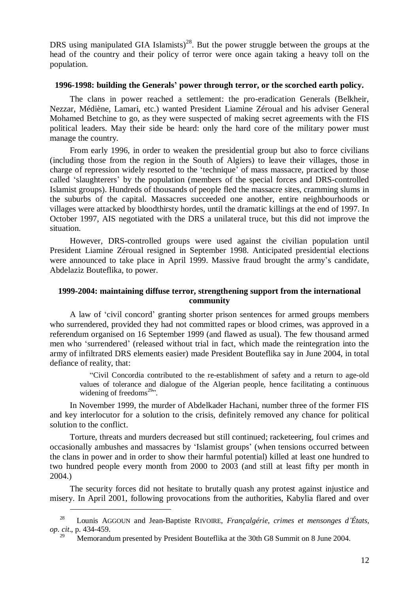DRS using manipulated GIA Islamists)<sup>28</sup>. But the power struggle between the groups at the head of the country and their policy of terror were once again taking a heavy toll on the population.

# **1996-1998: building the Generals' power through terror, or the scorched earth policy.**

The clans in power reached a settlement: the pro-eradication Generals (Belkheir, Nezzar, Médiène, Lamari, etc.) wanted President Liamine Zéroual and his adviser General Mohamed Betchine to go, as they were suspected of making secret agreements with the FIS political leaders. May their side be heard: only the hard core of the military power must manage the country.

From early 1996, in order to weaken the presidential group but also to force civilians (including those from the region in the South of Algiers) to leave their villages, those in charge of repression widely resorted to the 'technique' of mass massacre, practiced by those called 'slaughterers' by the population (members of the special forces and DRS-controlled Islamist groups). Hundreds of thousands of people fled the massacre sites, cramming slums in the suburbs of the capital. Massacres succeeded one another, entire neighbourhoods or villages were attacked by bloodthirsty hordes, until the dramatic killings at the end of 1997. In October 1997, AIS negotiated with the DRS a unilateral truce, but this did not improve the situation.

However, DRS-controlled groups were used against the civilian population until President Liamine Zéroual resigned in September 1998. Anticipated presidential elections were announced to take place in April 1999. Massive fraud brought the army's candidate, Abdelaziz Bouteflika, to power.

#### **1999-2004: maintaining diffuse terror, strengthening support from the international community**

A law of 'civil concord' granting shorter prison sentences for armed groups members who surrendered, provided they had not committed rapes or blood crimes, was approved in a referendum organised on 16 September 1999 (and flawed as usual). The few thousand armed men who 'surrendered' (released without trial in fact, which made the reintegration into the army of infiltrated DRS elements easier) made President Bouteflika say in June 2004, in total defiance of reality, that:

"Civil Concordia contributed to the re-establishment of safety and a return to age-old values of tolerance and dialogue of the Algerian people, hence facilitating a continuous widening of freedoms $^{29}$ .

In November 1999, the murder of Abdelkader Hachani, number three of the former FIS and key interlocutor for a solution to the crisis, definitely removed any chance for political solution to the conflict.

Torture, threats and murders decreased but still continued; racketeering, foul crimes and occasionally ambushes and massacres by 'Islamist groups' (when tensions occurred between the clans in power and in order to show their harmful potential) killed at least one hundred to two hundred people every month from 2000 to 2003 (and still at least fifty per month in 2004.)

The security forces did not hesitate to brutally quash any protest against injustice and misery. In April 2001, following provocations from the authorities, Kabylia flared and over

<sup>28</sup> Lounis AGGOUN and Jean-Baptiste RIVOIRE, *Françalgérie, crimes et mensonges d'États*, *op. cit*., p. 434-459.

Memorandum presented by President Bouteflika at the 30th G8 Summit on 8 June 2004.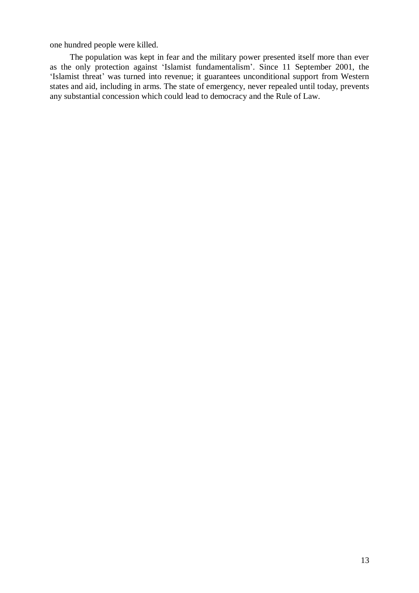one hundred people were killed.

The population was kept in fear and the military power presented itself more than ever as the only protection against 'Islamist fundamentalism'. Since 11 September 2001, the 'Islamist threat' was turned into revenue; it guarantees unconditional support from Western states and aid, including in arms. The state of emergency, never repealed until today, prevents any substantial concession which could lead to democracy and the Rule of Law.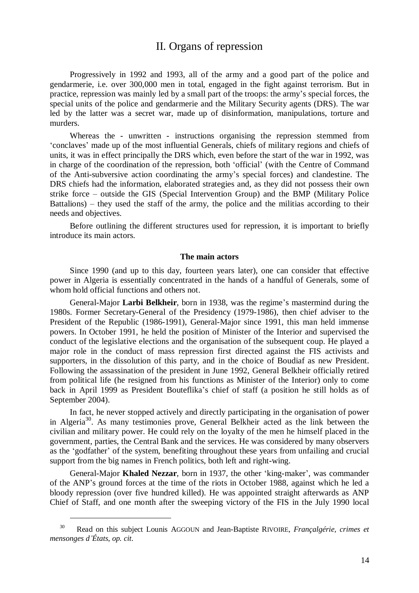# II. Organs of repression

Progressively in 1992 and 1993, all of the army and a good part of the police and gendarmerie, i.e. over 300,000 men in total, engaged in the fight against terrorism. But in practice, repression was mainly led by a small part of the troops: the army's special forces, the special units of the police and gendarmerie and the Military Security agents (DRS). The war led by the latter was a secret war, made up of disinformation, manipulations, torture and murders.

Whereas the - unwritten - instructions organising the repression stemmed from 'conclaves' made up of the most influential Generals, chiefs of military regions and chiefs of units, it was in effect principally the DRS which, even before the start of the war in 1992, was in charge of the coordination of the repression, both 'official' (with the Centre of Command of the Anti-subversive action coordinating the army's special forces) and clandestine. The DRS chiefs had the information, elaborated strategies and, as they did not possess their own strike force – outside the GIS (Special Intervention Group) and the BMP (Military Police Battalions) – they used the staff of the army, the police and the militias according to their needs and objectives.

Before outlining the different structures used for repression, it is important to briefly introduce its main actors.

#### **The main actors**

Since 1990 (and up to this day, fourteen years later), one can consider that effective power in Algeria is essentially concentrated in the hands of a handful of Generals, some of whom hold official functions and others not.

General-Major **Larbi Belkheir**, born in 1938, was the regime's mastermind during the 1980s. Former Secretary-General of the Presidency (1979-1986), then chief adviser to the President of the Republic (1986-1991), General-Major since 1991, this man held immense powers. In October 1991, he held the position of Minister of the Interior and supervised the conduct of the legislative elections and the organisation of the subsequent coup. He played a major role in the conduct of mass repression first directed against the FIS activists and supporters, in the dissolution of this party, and in the choice of Boudiaf as new President. Following the assassination of the president in June 1992, General Belkheir officially retired from political life (he resigned from his functions as Minister of the Interior) only to come back in April 1999 as President Bouteflika's chief of staff (a position he still holds as of September 2004).

In fact, he never stopped actively and directly participating in the organisation of power in Algeria<sup>30</sup>. As many testimonies prove, General Belkheir acted as the link between the civilian and military power. He could rely on the loyalty of the men he himself placed in the government, parties, the Central Bank and the services. He was considered by many observers as the 'godfather' of the system, benefiting throughout these years from unfailing and crucial support from the big names in French politics, both left and right-wing.

General-Major **Khaled Nezzar**, born in 1937, the other 'king-maker', was commander of the ANP's ground forces at the time of the riots in October 1988, against which he led a bloody repression (over five hundred killed). He was appointed straight afterwards as ANP Chief of Staff, and one month after the sweeping victory of the FIS in the July 1990 local

<sup>30</sup> Read on this subject Lounis AGGOUN and Jean-Baptiste RIVOIRE, *Françalgérie, crimes et mensonges d'États*, *op. cit*.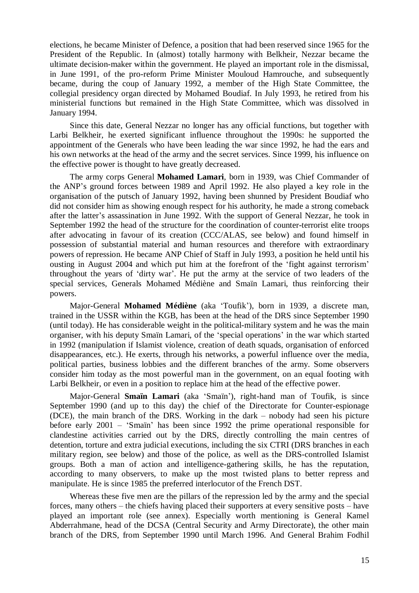elections, he became Minister of Defence, a position that had been reserved since 1965 for the President of the Republic. In (almost) totally harmony with Belkheir, Nezzar became the ultimate decision-maker within the government. He played an important role in the dismissal, in June 1991, of the pro-reform Prime Minister Mouloud Hamrouche, and subsequently became, during the coup of January 1992, a member of the High State Committee, the collegial presidency organ directed by Mohamed Boudiaf. In July 1993, he retired from his ministerial functions but remained in the High State Committee, which was dissolved in January 1994.

Since this date, General Nezzar no longer has any official functions, but together with Larbi Belkheir, he exerted significant influence throughout the 1990s: he supported the appointment of the Generals who have been leading the war since 1992, he had the ears and his own networks at the head of the army and the secret services. Since 1999, his influence on the effective power is thought to have greatly decreased.

The army corps General **Mohamed Lamari**, born in 1939, was Chief Commander of the ANP's ground forces between 1989 and April 1992. He also played a key role in the organisation of the putsch of January 1992, having been shunned by President Boudiaf who did not consider him as showing enough respect for his authority, he made a strong comeback after the latter's assassination in June 1992. With the support of General Nezzar, he took in September 1992 the head of the structure for the coordination of counter-terrorist elite troops after advocating in favour of its creation (CCC/ALAS, see below) and found himself in possession of substantial material and human resources and therefore with extraordinary powers of repression. He became ANP Chief of Staff in July 1993, a position he held until his ousting in August 2004 and which put him at the forefront of the 'fight against terrorism' throughout the years of 'dirty war'. He put the army at the service of two leaders of the special services, Generals Mohamed Médiène and Smaïn Lamari, thus reinforcing their powers.

Major-General **Mohamed Médiène** (aka 'Toufik'), born in 1939, a discrete man, trained in the USSR within the KGB, has been at the head of the DRS since September 1990 (until today). He has considerable weight in the political-military system and he was the main organiser, with his deputy Smaïn Lamari, of the 'special operations' in the war which started in 1992 (manipulation if Islamist violence, creation of death squads, organisation of enforced disappearances, etc.). He exerts, through his networks, a powerful influence over the media, political parties, business lobbies and the different branches of the army. Some observers consider him today as the most powerful man in the government, on an equal footing with Larbi Belkheir, or even in a position to replace him at the head of the effective power.

Major-General **Smaïn Lamari** (aka 'Smaïn'), right-hand man of Toufik, is since September 1990 (and up to this day) the chief of the Directorate for Counter-espionage (DCE), the main branch of the DRS. Working in the dark – nobody had seen his picture before early 2001 –'Smaïn' has been since 1992 the prime operational responsible for clandestine activities carried out by the DRS, directly controlling the main centres of detention, torture and extra judicial executions, including the six CTRI (DRS branches in each military region, see below) and those of the police, as well as the DRS-controlled Islamist groups. Both a man of action and intelligence-gathering skills, he has the reputation, according to many observers, to make up the most twisted plans to better repress and manipulate. He is since 1985 the preferred interlocutor of the French DST.

Whereas these five men are the pillars of the repression led by the army and the special forces, many others – the chiefs having placed their supporters at every sensitive posts – have played an important role (see annex). Especially worth mentioning is General Kamel Abderrahmane, head of the DCSA (Central Security and Army Directorate), the other main branch of the DRS, from September 1990 until March 1996. And General Brahim Fodhil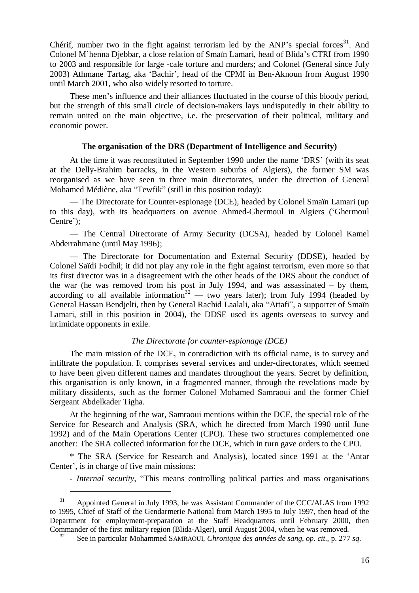Chérif, number two in the fight against terrorism led by the ANP's special forces<sup>31</sup>. And Colonel M'henna Djebbar, a close relation of Smaïn Lamari, head of Blida's CTRI from 1990 to 2003 and responsible for large -cale torture and murders; and Colonel (General since July 2003) Athmane Tartag, aka 'Bachir', head of the CPMI in Ben-Aknoun from August 1990 until March 2001, who also widely resorted to torture.

These men's influence and their alliances fluctuated in the course of this bloody period, but the strength of this small circle of decision-makers lays undisputedly in their ability to remain united on the main objective, i.e. the preservation of their political, military and economic power.

#### **The organisation of the DRS (Department of Intelligence and Security)**

At the time it was reconstituted in September 1990 under the name 'DRS' (with its seat at the Delly-Brahim barracks, in the Western suburbs of Algiers), the former SM was reorganised as we have seen in three main directorates, under the direction of General Mohamed Médiène, aka "Tewfik" (still in this position today):

— The Directorate for Counter-espionage (DCE), headed by Colonel Smaïn Lamari (up to this day), with its headquarters on avenue Ahmed-Ghermoul in Algiers ('Ghermoul Centre');

— The Central Directorate of Army Security (DCSA), headed by Colonel Kamel Abderrahmane (until May 1996);

— The Directorate for Documentation and External Security (DDSE), headed by Colonel Saïdi Fodhil; it did not play any role in the fight against terrorism, even more so that its first director was in a disagreement with the other heads of the DRS about the conduct of the war (he was removed from his post in July 1994, and was assassinated – by them, according to all available information<sup>32</sup> — two years later); from July 1994 (headed by General Hassan Bendjelti, then by General Rachid Laalali, aka "Attafi", a supporter of Smaïn Lamari, still in this position in 2004), the DDSE used its agents overseas to survey and intimidate opponents in exile.

#### *The Directorate for counter-espionage (DCE)*

The main mission of the DCE, in contradiction with its official name, is to survey and infiltrate the population. It comprises several services and under-directorates, which seemed to have been given different names and mandates throughout the years. Secret by definition, this organisation is only known, in a fragmented manner, through the revelations made by military dissidents, such as the former Colonel Mohamed Samraoui and the former Chief Sergeant Abdelkader Tigha.

At the beginning of the war, Samraoui mentions within the DCE, the special role of the Service for Research and Analysis (SRA, which he directed from March 1990 until June 1992) and of the Main Operations Center (CPO). These two structures complemented one another: The SRA collected information for the DCE, which in turn gave orders to the CPO.

\* The SRA (Service for Research and Analysis), located since 1991 at the 'Antar Center', is in charge of five main missions:

- *Internal security*, "This means controlling political parties and mass organisations

<sup>&</sup>lt;sup>31</sup> Appointed General in July 1993, he was Assistant Commander of the CCC/ALAS from 1992 to 1995, Chief of Staff of the Gendarmerie National from March 1995 to July 1997, then head of the Department for employment-preparation at the Staff Headquarters until February 2000, then Commander of the first military region (Blida-Alger), until August 2004, when he was removed.

<sup>32</sup> See in particular Mohammed SAMRAOUI, *Chronique des années de sang*, *op. cit.*, p. 277 *sq*.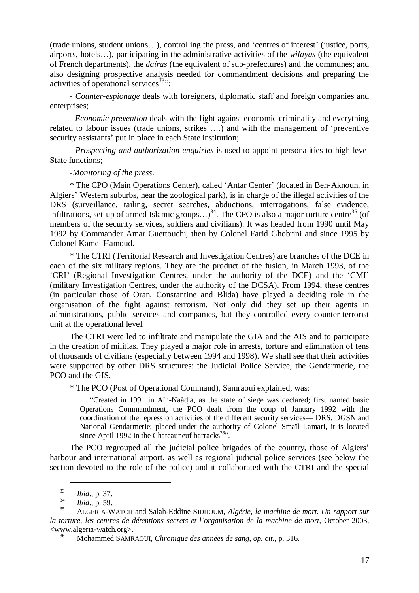(trade unions, student unions…), controlling the press, and 'centres of interest' (justice, ports, airports, hotels…), participating in the administrative activities of the *wilayas* (the equivalent of French departments), the *daïras* (the equivalent of sub-prefectures) and the communes; and also designing prospective analysis needed for commandment decisions and preparing the activities of operational services  $33$ ":

- *Counter-espionage* deals with foreigners, diplomatic staff and foreign companies and enterprises;

- *Economic prevention* deals with the fight against economic criminality and everything related to labour issues (trade unions, strikes ….) and with the management of 'preventive security assistants' put in place in each State institution;

- *Prospecting and authorization enquiries* is used to appoint personalities to high level State functions;

-*Monitoring of the press*.

\* The CPO (Main Operations Center), called 'Antar Center' (located in Ben-Aknoun, in Algiers' Western suburbs, near the zoological park), is in charge of the illegal activities of the DRS (surveillance, tailing, secret searches, abductions, interrogations, false evidence, infiltrations, set-up of armed Islamic groups...)<sup>34</sup>. The CPO is also a major torture centre<sup>35</sup> (of members of the security services, soldiers and civilians). It was headed from 1990 until May 1992 by Commander Amar Guettouchi, then by Colonel Farid Ghobrini and since 1995 by Colonel Kamel Hamoud.

\* The CTRI (Territorial Research and Investigation Centres) are branches of the DCE in each of the six military regions. They are the product of the fusion, in March 1993, of the 'CRI' (Regional Investigation Centres, under the authority of the DCE) and the 'CMI' (military Investigation Centres, under the authority of the DCSA). From 1994, these centres (in particular those of Oran, Constantine and Blida) have played a deciding role in the organisation of the fight against terrorism. Not only did they set up their agents in administrations, public services and companies, but they controlled every counter-terrorist unit at the operational level.

The CTRI were led to infiltrate and manipulate the GIA and the AIS and to participate in the creation of militias. They played a major role in arrests, torture and elimination of tens of thousands of civilians (especially between 1994 and 1998). We shall see that their activities were supported by other DRS structures: the Judicial Police Service, the Gendarmerie, the PCO and the GIS.

\* The PCO (Post of Operational Command), Samraoui explained, was:

"Created in 1991 in Aïn-Naâdja, as the state of siege was declared; first named basic Operations Commandment, the PCO dealt from the coup of January 1992 with the coordination of the repression activities of the different security services— DRS, DGSN and National Gendarmerie; placed under the authority of Colonel Smaïl Lamari, it is located since April 1992 in the Chateauneuf barracks $36$ .

The PCO regrouped all the judicial police brigades of the country, those of Algiers' harbour and international airport, as well as regional judicial police services (see below the section devoted to the role of the police) and it collaborated with the CTRI and the special

<sup>33</sup> *Ibid*., p. 37.

 $\frac{34}{35}$  *Ibid.*, p. 59.

<sup>35</sup> ALGERIA-WATCH and Salah-Eddine SIDHOUM, *Algérie, la machine de mort. Un rapport sur la torture, les centres de détentions secrets et l'organisation de la machine de mort*, October 2003, <www.algeria-watch.org>.

<sup>36</sup> Mohammed SAMRAOUI, *Chronique des années de sang*, *op. cit.*, p. 316.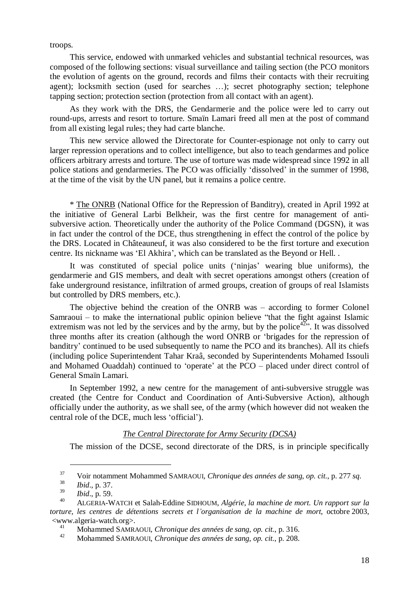troops.

This service, endowed with unmarked vehicles and substantial technical resources, was composed of the following sections: visual surveillance and tailing section (the PCO monitors the evolution of agents on the ground, records and films their contacts with their recruiting agent); locksmith section (used for searches …); secret photography section; telephone tapping section; protection section (protection from all contact with an agent).

As they work with the DRS, the Gendarmerie and the police were led to carry out round-ups, arrests and resort to torture. Smaïn Lamari freed all men at the post of command from all existing legal rules; they had carte blanche.

This new service allowed the Directorate for Counter-espionage not only to carry out larger repression operations and to collect intelligence, but also to teach gendarmes and police officers arbitrary arrests and torture. The use of torture was made widespread since 1992 in all police stations and gendarmeries. The PCO was officially 'dissolved' in the summer of 1998, at the time of the visit by the UN panel, but it remains a police centre.

\* The ONRB (National Office for the Repression of Banditry), created in April 1992 at the initiative of General Larbi Belkheir, was the first centre for management of antisubversive action. Theoretically under the authority of the Police Command (DGSN), it was in fact under the control of the DCE, thus strengthening in effect the control of the police by the DRS. Located in Châteauneuf, it was also considered to be the first torture and execution centre. Its nickname was 'El Akhira', which can be translated as the Beyond or Hell. .

It was constituted of special police units ('ninjas' wearing blue uniforms), the gendarmerie and GIS members, and dealt with secret operations amongst others (creation of fake underground resistance, infiltration of armed groups, creation of groups of real Islamists but controlled by DRS members, etc.).

The objective behind the creation of the ONRB was  $-$  according to former Colonel Samraoui – to make the international public opinion believe "that the fight against Islamic extremism was not led by the services and by the army, but by the police<sup>42</sup>. It was dissolved three months after its creation (although the word ONRB or 'brigades for the repression of banditry' continued to be used subsequently to name the PCO and its branches). All its chiefs (including police Superintendent Tahar Kraâ, seconded by Superintendents Mohamed Issouli and Mohamed Ouaddah) continued to 'operate' at the PCO – placed under direct control of General Smaïn Lamari.

In September 1992, a new centre for the management of anti-subversive struggle was created (the Centre for Conduct and Coordination of Anti-Subversive Action), although officially under the authority, as we shall see, of the army (which however did not weaken the central role of the DCE, much less 'official').

#### *The Central Directorate for Army Security (DCSA)*

The mission of the DCSE, second directorate of the DRS, is in principle specifically

<sup>37</sup> Voir notamment Mohammed SAMRAOUI, *Chronique des années de sang*, *op. cit.*, p. 277 *sq*.

 $\frac{38}{39}$  *Ibid.*, p. 37.

<sup>39</sup> *Ibid*., p. 59.

<sup>40</sup> ALGERIA-WATCH et Salah-Eddine SIDHOUM, *Algérie, la machine de mort. Un rapport sur la torture, les centres de détentions secrets et l'organisation de la machine de mort*, octobre 2003,  $\langle$ www.algeria-watch.org>.

<sup>41</sup> Mohammed SAMRAOUI, *Chronique des années de sang*, *op. cit.*, p. 316.

<sup>42</sup> Mohammed SAMRAOUI, *Chronique des années de sang*, *op. cit.*, p. 208.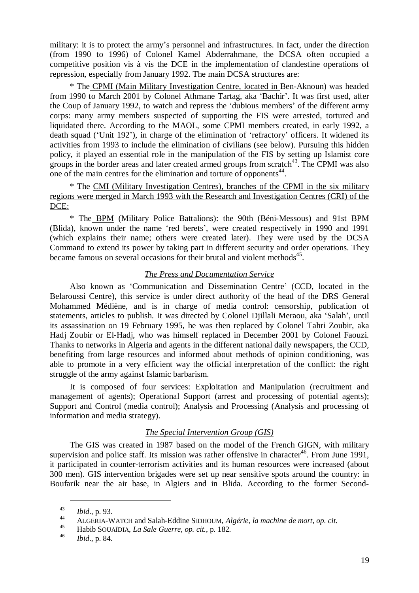military: it is to protect the army's personnel and infrastructures. In fact, under the direction (from 1990 to 1996) of Colonel Kamel Abderrahmane, the DCSA often occupied a competitive position vis à vis the DCE in the implementation of clandestine operations of repression, especially from January 1992. The main DCSA structures are:

\* The CPMI (Main Military Investigation Centre, located in Ben-Aknoun) was headed from 1990 to March 2001 by Colonel Athmane Tartag, aka 'Bachir'. It was first used, after the Coup of January 1992, to watch and repress the 'dubious members' of the different army corps: many army members suspected of supporting the FIS were arrested, tortured and liquidated there. According to the MAOL, some CPMI members created, in early 1992, a death squad ('Unit 192'), in charge of the elimination of 'refractory' officers. It widened its activities from 1993 to include the elimination of civilians (see below). Pursuing this hidden policy, it played an essential role in the manipulation of the FIS by setting up Islamist core groups in the border areas and later created armed groups from scratch $43$ . The CPMI was also one of the main centres for the elimination and torture of opponents $44$ .

\* The CMI (Military Investigation Centres), branches of the CPMI in the six military regions were merged in March 1993 with the Research and Investigation Centres (CRI) of the DCE:

\* The BPM (Military Police Battalions): the 90th (Béni-Messous) and 91st BPM (Blida), known under the name 'red berets', were created respectively in 1990 and 1991 (which explains their name; others were created later). They were used by the DCSA Command to extend its power by taking part in different security and order operations. They became famous on several occasions for their brutal and violent methods<sup>45</sup>.

# *The Press and Documentation Service*

Also known as 'Communication and Dissemination Centre'(CCD, located in the Belaroussi Centre), this service is under direct authority of the head of the DRS General Mohammed Médiène, and is in charge of media control: censorship, publication of statements, articles to publish. It was directed by Colonel Djillali Meraou, aka 'Salah', until its assassination on 19 February 1995, he was then replaced by Colonel Tahri Zoubir, aka Hadj Zoubir or El-Hadj, who was himself replaced in December 2001 by Colonel Faouzi. Thanks to networks in Algeria and agents in the different national daily newspapers, the CCD, benefiting from large resources and informed about methods of opinion conditioning, was able to promote in a very efficient way the official interpretation of the conflict: the right struggle of the army against Islamic barbarism.

It is composed of four services: Exploitation and Manipulation (recruitment and management of agents); Operational Support (arrest and processing of potential agents); Support and Control (media control); Analysis and Processing (Analysis and processing of information and media strategy).

# *The Special Intervention Group (GIS)*

The GIS was created in 1987 based on the model of the French GIGN, with military supervision and police staff. Its mission was rather offensive in character<sup>46</sup>. From June 1991, it participated in counter-terrorism activities and its human resources were increased (about 300 men). GIS intervention brigades were set up near sensitive spots around the country: in Boufarik near the air base, in Algiers and in Blida. According to the former Second-

<sup>43</sup> *Ibid*., p. 93.

<sup>44</sup> ALGERIA-WATCH and Salah-Eddine SIDHOUM, *Algérie, la machine de mort*, *op. cit*.

<sup>45</sup> Habib SOUAÏDIA, *La Sale Guerre*, *op. cit.*, p. 182.

<sup>46</sup> *Ibid*., p. 84.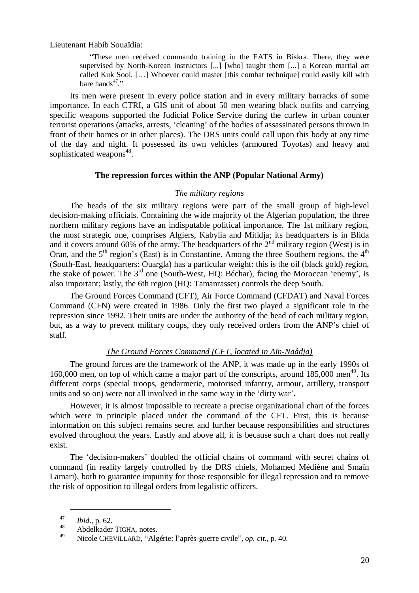Lieutenant Habib Souaïdia:

"These men received commando training in the EATS in Biskra. There, they were supervised by North-Korean instructors [...] [who] taught them [...] a Korean martial art called Kuk Sool. […] Whoever could master [this combat technique] could easily kill with bare hands $47$ ."

Its men were present in every police station and in every military barracks of some importance. In each CTRI, a GIS unit of about 50 men wearing black outfits and carrying specific weapons supported the Judicial Police Service during the curfew in urban counter terrorist operations (attacks, arrests, 'cleaning' of the bodies of assassinated persons thrown in front of their homes or in other places). The DRS units could call upon this body at any time of the day and night. It possessed its own vehicles (armoured Toyotas) and heavy and sophisticated weapons<sup>48</sup>.

#### **The repression forces within the ANP (Popular National Army)**

#### *The military regions*

The heads of the six military regions were part of the small group of high-level decision-making officials. Containing the wide majority of the Algerian population, the three northern military regions have an indisputable political importance. The 1st military region, the most strategic one, comprises Algiers, Kabylia and Mitidja; its headquarters is in Blida and it covers around 60% of the army. The headquarters of the  $2<sup>nd</sup>$  military region (West) is in Oran, and the  $5<sup>th</sup>$  region's (East) is in Constantine. Among the three Southern regions, the  $4<sup>th</sup>$ (South-East, headquarters: Ouargla) has a particular weight: this is the oil (black gold) region, the stake of power. The  $3^{rd}$  one (South-West, HQ: Béchar), facing the Moroccan 'enemy', is also important; lastly, the 6th region (HQ: Tamanrasset) controls the deep South.

The Ground Forces Command (CFT), Air Force Command (CFDAT) and Naval Forces Command (CFN) were created in 1986. Only the first two played a significant role in the repression since 1992. Their units are under the authority of the head of each military region, but, as a way to prevent military coups, they only received orders from the ANP's chief of staff.

# *The Ground Forces Command (CFT, located in Aïn-Naâdja)*

The ground forces are the framework of the ANP, it was made up in the early 1990s of 160,000 men, on top of which came a major part of the conscripts, around  $185,000$  men<sup>49</sup>. Its different corps (special troops, gendarmerie, motorised infantry, armour, artillery, transport units and so on) were not all involved in the same way in the 'dirty war'.

However, it is almost impossible to recreate a precise organizational chart of the forces which were in principle placed under the command of the CFT. First, this is because information on this subject remains secret and further because responsibilities and structures evolved throughout the years. Lastly and above all, it is because such a chart does not really exist.

The 'decision-makers' doubled the official chains of command with secret chains of command (in reality largely controlled by the DRS chiefs, Mohamed Médiène and Smaïn Lamari), both to guarantee impunity for those responsible for illegal repression and to remove the risk of opposition to illegal orders from legalistic officers.

<sup>47</sup> *Ibid*., p. 62.

 $^{48}$  Abdelkader TIGHA, notes.

<sup>49</sup> Nicole CHEVILLARD, "Algérie: l'après-guerre civile", *op. cit.*, p. 40.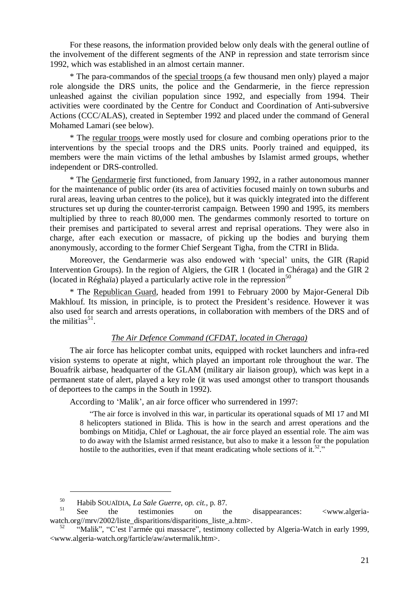For these reasons, the information provided below only deals with the general outline of the involvement of the different segments of the ANP in repression and state terrorism since 1992, which was established in an almost certain manner.

\* The para-commandos of the special troops (a few thousand men only) played a major role alongside the DRS units, the police and the Gendarmerie, in the fierce repression unleashed against the civilian population since 1992, and especially from 1994. Their activities were coordinated by the Centre for Conduct and Coordination of Anti-subversive Actions (CCC/ALAS), created in September 1992 and placed under the command of General Mohamed Lamari (see below).

\* The regular troops were mostly used for closure and combing operations prior to the interventions by the special troops and the DRS units. Poorly trained and equipped, its members were the main victims of the lethal ambushes by Islamist armed groups, whether independent or DRS-controlled.

\* The Gendarmerie first functioned, from January 1992, in a rather autonomous manner for the maintenance of public order (its area of activities focused mainly on town suburbs and rural areas, leaving urban centres to the police), but it was quickly integrated into the different structures set up during the counter-terrorist campaign. Between 1990 and 1995, its members multiplied by three to reach 80,000 men. The gendarmes commonly resorted to torture on their premises and participated to several arrest and reprisal operations. They were also in charge, after each execution or massacre, of picking up the bodies and burying them anonymously, according to the former Chief Sergeant Tigha, from the CTRI in Blida.

Moreover, the Gendarmerie was also endowed with 'special' units, the GIR (Rapid Intervention Groups). In the region of Algiers, the GIR 1 (located in Chéraga) and the GIR 2 (located in Réghaïa) played a particularly active role in the repression<sup>50</sup>

\* The Republican Guard, headed from 1991 to February 2000 by Major-General Dib Makhlouf. Its mission, in principle, is to protect the President's residence. However it was also used for search and arrests operations, in collaboration with members of the DRS and of the militias<sup>51</sup>.

## *The Air Defence Command (CFDAT, located in Cheraga)*

The air force has helicopter combat units, equipped with rocket launchers and infra-red vision systems to operate at night, which played an important role throughout the war. The Bouafrik airbase, headquarter of the GLAM (military air liaison group), which was kept in a permanent state of alert, played a key role (it was used amongst other to transport thousands of deportees to the camps in the South in 1992).

According to 'Malik', an air force officer who surrendered in 1997:

"The air force is involved in this war, in particular its operational squads of MI 17 and MI 8 helicopters stationed in Blida. This is how in the search and arrest operations and the bombings on Mitidja, Chlef or Laghouat, the air force played an essential role. The aim was to do away with the Islamist armed resistance, but also to make it a lesson for the population hostile to the authorities, even if that meant eradicating whole sections of it.<sup>52</sup>."

<sup>50</sup> Habib SOUAÏDIA, *La Sale Guerre*, *op. cit.*, p. 87.

See the testimonies on the disappearances: <www.algeriawatch.org//mrv/2002/liste\_disparitions/disparitions\_liste\_a.htm>.

<sup>&</sup>quot;Malik", "C'est l'armée qui massacre", testimony collected by Algeria-Watch in early 1999, <www.algeria-watch.org/farticle/aw/awtermalik.htm>.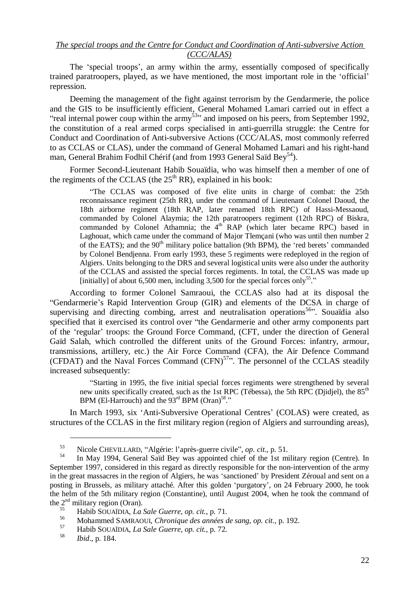#### *The special troops and the Centre for Conduct and Coordination of Anti-subversive Action (CCC/ALAS)*

The 'special troops', an army within the army, essentially composed of specifically trained paratroopers, played, as we have mentioned, the most important role in the 'official' repression.

Deeming the management of the fight against terrorism by the Gendarmerie, the police and the GIS to be insufficiently efficient, General Mohamed Lamari carried out in effect a "real internal power coup within the army<sup>53</sup>" and imposed on his peers, from September 1992, the constitution of a real armed corps specialised in anti-guerrilla struggle: the Centre for Conduct and Coordination of Anti-subversive Actions (CCC/ALAS, most commonly referred to as CCLAS or CLAS), under the command of General Mohamed Lamari and his right-hand man, General Brahim Fodhil Chérif (and from 1993 General Saïd Bey<sup>54</sup>).

Former Second-Lieutenant Habib Souaïdia, who was himself then a member of one of the regiments of the CCLAS (the  $25<sup>th</sup> RR$ ), explained in his book:

"The CCLAS was composed of five elite units in charge of combat: the 25th reconnaissance regiment (25th RR), under the command of Lieutenant Colonel Daoud, the 18th airborne regiment (18th RAP, later renamed 18th RPC) of Hassi-Messaoud, commanded by Colonel Alaymia; the 12th paratroopers regiment (12th RPC) of Biskra, commanded by Colonel Athamnia; the  $4<sup>th</sup>$  RAP (which later became RPC) based in Laghouat, which came under the command of Major Tlemçani (who was until then number 2 of the EATS); and the  $90<sup>th</sup>$  military police battalion (9th BPM), the 'red berets' commanded by Colonel Bendjenna. From early 1993, these 5 regiments were redeployed in the region of Algiers. Units belonging to the DRS and several logistical units were also under the authority of the CCLAS and assisted the special forces regiments. In total, the CCLAS was made up [initially] of about 6,500 men, including  $3,500$  for the special forces only<sup>55</sup>."

According to former Colonel Samraoui, the CCLAS also had at its disposal the "Gendarmerie's Rapid Intervention Group (GIR) and elements of the DCSA in charge of supervising and directing combing, arrest and neutralisation operations<sup>56</sup>". Souaïdia also specified that it exercised its control over "the Gendarmerie and other army components part of the 'regular' troops: the Ground Force Command, (CFT, under the direction of General Gaïd Salah, which controlled the different units of the Ground Forces: infantry, armour, transmissions, artillery, etc.) the Air Force Command (CFA), the Air Defence Command (CFDAT) and the Naval Forces Command (CFN)<sup>57</sup>". The personnel of the CCLAS steadily increased subsequently:

"Starting in 1995, the five initial special forces regiments were strengthened by several new units specifically created, such as the 1st RPC (Tébessa), the 5th RPC (Diidjel), the 85<sup>th</sup> BPM (El-Harrouch) and the  $93<sup>rd</sup>$  BPM (Oran)<sup>58</sup>."

In March 1993, six 'Anti-Subversive Operational Centres' (COLAS) were created, as structures of the CCLAS in the first military region (region of Algiers and surrounding areas),

<sup>53</sup> Nicole CHEVILLARD, "Algérie: l'après-guerre civile", *op. cit.*, p. 51.

<sup>54</sup> In May 1994, General Saïd Bey was appointed chief of the 1st military region (Centre). In September 1997, considered in this regard as directly responsible for the non-intervention of the army in the great massacres in the region of Algiers, he was 'sanctioned' by President Zéroual and sent on a posting in Brussels, as military attaché. After this golden 'purgatory', on 24 February 2000, he took the helm of the 5th military region (Constantine), until August 2004, when he took the command of the  $2<sup>nd</sup>$  military region (Oran).

<sup>55</sup> Habib SOUAÏDIA, *La Sale Guerre*, *op. cit.*, p. 71.

<sup>56</sup> Mohammed SAMRAOUI, *Chronique des années de sang*, *op. cit.*, p. 192.

<sup>57</sup> Habib SOUAÏDIA, *La Sale Guerre*, *op. cit.*, p. 72.

<sup>58</sup> *Ibid*., p. 184.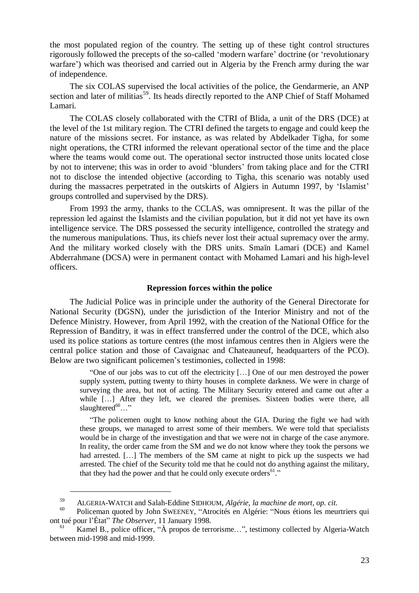the most populated region of the country. The setting up of these tight control structures rigorously followed the precepts of the so-called 'modern warfare' doctrine (or 'revolutionary warfare') which was theorised and carried out in Algeria by the French army during the war of independence.

The six COLAS supervised the local activities of the police, the Gendarmerie, an ANP section and later of militias<sup>59</sup>. Its heads directly reported to the ANP Chief of Staff Mohamed Lamari.

The COLAS closely collaborated with the CTRI of Blida, a unit of the DRS (DCE) at the level of the 1st military region. The CTRI defined the targets to engage and could keep the nature of the missions secret. For instance, as was related by Abdelkader Tigha, for some night operations, the CTRI informed the relevant operational sector of the time and the place where the teams would come out. The operational sector instructed those units located close by not to intervene; this was in order to avoid 'blunders' from taking place and for the CTRI not to disclose the intended objective (according to Tigha, this scenario was notably used during the massacres perpetrated in the outskirts of Algiers in Autumn 1997, by 'Islamist' groups controlled and supervised by the DRS).

From 1993 the army, thanks to the CCLAS, was omnipresent. It was the pillar of the repression led against the Islamists and the civilian population, but it did not yet have its own intelligence service. The DRS possessed the security intelligence, controlled the strategy and the numerous manipulations. Thus, its chiefs never lost their actual supremacy over the army. And the military worked closely with the DRS units. Smaïn Lamari (DCE) and Kamel Abderrahmane (DCSA) were in permanent contact with Mohamed Lamari and his high-level officers.

#### **Repression forces within the police**

The Judicial Police was in principle under the authority of the General Directorate for National Security (DGSN), under the jurisdiction of the Interior Ministry and not of the Defence Ministry. However, from April 1992, with the creation of the National Office for the Repression of Banditry, it was in effect transferred under the control of the DCE, which also used its police stations as torture centres (the most infamous centres then in Algiers were the central police station and those of Cavaignac and Chateauneuf, headquarters of the PCO). Below are two significant policemen's testimonies, collected in 1998:

"One of our jobs was to cut off the electricity […] One of our men destroyed the power supply system, putting twenty to thirty houses in complete darkness. We were in charge of surveying the area, but not of acting. The Military Security entered and came out after a while […] After they left, we cleared the premises. Sixteen bodies were there, all slaughtered $60...$ "

"The policemen ought to know nothing about the GIA. During the fight we had with these groups, we managed to arrest some of their members. We were told that specialists would be in charge of the investigation and that we were not in charge of the case anymore. In reality, the order came from the SM and we do not know where they took the persons we had arrested. [...] The members of the SM came at night to pick up the suspects we had arrested. The chief of the Security told me that he could not do anything against the military, that they had the power and that he could only execute orders $61$ ."

<sup>59</sup> ALGERIA-WATCH and Salah-Eddine SIDHOUM, *Algérie, la machine de mort*, *op. cit*.

<sup>60</sup> Policeman quoted by John SWEENEY, "Atrocités en Algérie: "Nous étions les meurtriers qui ont tué pour l'État"*The Observer*, 11 January 1998.

Kamel B., police officer, "À propos de terrorisme...", testimony collected by Algeria-Watch between mid-1998 and mid-1999.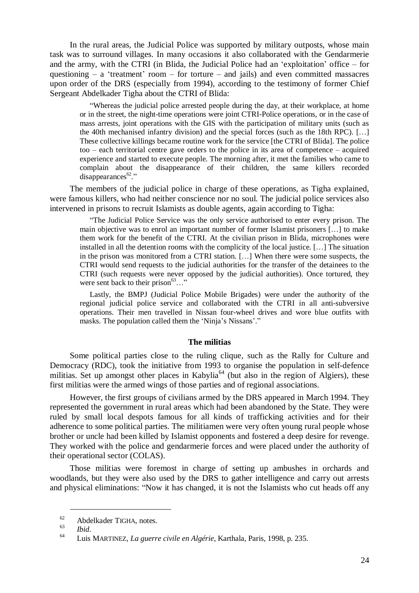In the rural areas, the Judicial Police was supported by military outposts, whose main task was to surround villages. In many occasions it also collaborated with the Gendarmerie and the army, with the CTRI (in Blida, the Judicial Police had an 'exploitation' office – for questioning  $-$  a 'treatment' room  $-$  for torture  $-$  and jails) and even committed massacres upon order of the DRS (especially from 1994), according to the testimony of former Chief Sergeant Abdelkader Tigha about the CTRI of Blida:

"Whereas the judicial police arrested people during the day, at their workplace, at home or in the street, the night-time operations were joint CTRI-Police operations, or in the case of mass arrests, joint operations with the GIS with the participation of military units (such as the 40th mechanised infantry division) and the special forces (such as the 18th RPC). […] These collective killings became routine work for the service [the CTRI of Blida]. The police too – each territorial centre gave orders to the police in its area of competence – acquired experience and started to execute people. The morning after, it met the families who came to complain about the disappearance of their children, the same killers recorded  $disappearances<sup>62</sup>$ ."

The members of the judicial police in charge of these operations, as Tigha explained, were famous killers, who had neither conscience nor no soul. The judicial police services also intervened in prisons to recruit Islamists as double agents, again according to Tigha:

"The Judicial Police Service was the only service authorised to enter every prison. The main objective was to enrol an important number of former Islamist prisoners […] to make them work for the benefit of the CTRI. At the civilian prison in Blida, microphones were installed in all the detention rooms with the complicity of the local justice. […] The situation in the prison was monitored from a CTRI station. […] When there were some suspects, the CTRI would send requests to the judicial authorities for the transfer of the detainees to the CTRI (such requests were never opposed by the judicial authorities). Once tortured, they were sent back to their prison $63...$ "

Lastly, the BMPJ (Judicial Police Mobile Brigades) were under the authority of the regional judicial police service and collaborated with the CTRI in all anti-subversive operations. Their men travelled in Nissan four-wheel drives and wore blue outfits with masks. The population called them the 'Ninja's Nissans'."

#### **The militias**

Some political parties close to the ruling clique, such as the Rally for Culture and Democracy (RDC), took the initiative from 1993 to organise the population in self-defence militias. Set up amongst other places in Kabylia<sup>64</sup> (but also in the region of Algiers), these first militias were the armed wings of those parties and of regional associations.

However, the first groups of civilians armed by the DRS appeared in March 1994. They represented the government in rural areas which had been abandoned by the State. They were ruled by small local despots famous for all kinds of trafficking activities and for their adherence to some political parties. The militiamen were very often young rural people whose brother or uncle had been killed by Islamist opponents and fostered a deep desire for revenge. They worked with the police and gendarmerie forces and were placed under the authority of their operational sector (COLAS).

Those militias were foremost in charge of setting up ambushes in orchards and woodlands, but they were also used by the DRS to gather intelligence and carry out arrests and physical eliminations: "Now it has changed, it is not the Islamists who cut heads off any

 $^{62}$  Abdelkader TIGHA, notes.

 $\begin{array}{cc}\n 03 \quad \text{Ibid.} \\
64 \quad \text{I via}\n \end{array}$ 

<sup>64</sup> Luis MARTINEZ, *La guerre civile en Algérie*, Karthala, Paris, 1998, p. 235.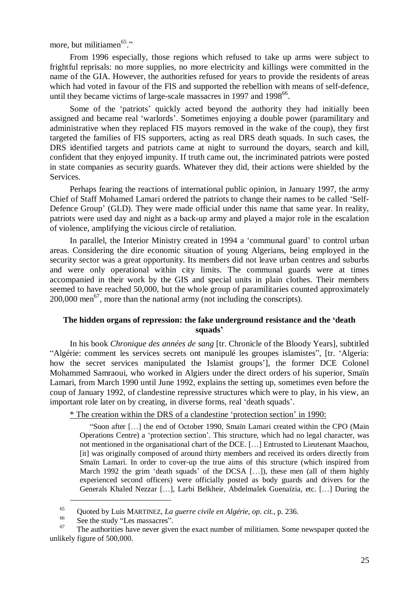more, but militiamen<sup>65</sup>."

From 1996 especially, those regions which refused to take up arms were subject to frightful reprisals: no more supplies, no more electricity and killings were committed in the name of the GIA. However, the authorities refused for years to provide the residents of areas which had voted in favour of the FIS and supported the rebellion with means of self-defence, until they became victims of large-scale massacres in 1997 and 1998 $^{66}$ .

Some of the 'patriots' quickly acted beyond the authority they had initially been assigned and became real 'warlords'. Sometimes enjoying a double power (paramilitary and administrative when they replaced FIS mayors removed in the wake of the coup), they first targeted the families of FIS supporters, acting as real DRS death squads. In such cases, the DRS identified targets and patriots came at night to surround the doyars, search and kill, confident that they enjoyed impunity. If truth came out, the incriminated patriots were posted in state companies as security guards. Whatever they did, their actions were shielded by the Services.

Perhaps fearing the reactions of international public opinion, in January 1997, the army Chief of Staff Mohamed Lamari ordered the patriots to change their names to be called 'Self-Defence Group' (GLD). They were made official under this name that same year. In reality, patriots were used day and night as a back-up army and played a major role in the escalation of violence, amplifying the vicious circle of retaliation.

In parallel, the Interior Ministry created in 1994 a 'communal guard' to control urban areas. Considering the dire economic situation of young Algerians, being employed in the security sector was a great opportunity. Its members did not leave urban centres and suburbs and were only operational within city limits. The communal guards were at times accompanied in their work by the GIS and special units in plain clothes. Their members seemed to have reached 50,000, but the whole group of paramilitaries counted approximately 200,000 men<sup>67</sup>, more than the national army (not including the conscripts).

# **The hidden organs of repression: the fake underground resistance and the 'death squads'**

In his book *Chronique des années de sang* [tr. Chronicle of the Bloody Years], subtitled "Algérie: comment les services secrets ont manipulé les groupes islamistes", [tr. 'Algeria: how the secret services manipulated the Islamist groups'], the former DCE Colonel Mohammed Samraoui, who worked in Algiers under the direct orders of his superior, Smaïn Lamari, from March 1990 until June 1992, explains the setting up, sometimes even before the coup of January 1992, of clandestine repressive structures which were to play, in his view, an important role later on by creating, in diverse forms, real 'death squads'.

\* The creation within the DRS of a clandestine 'protection section' in 1990:

"Soon after […] the end of October 1990, Smaïn Lamari created within the CPO (Main Operations Centre) a 'protection section'. This structure, which had no legal character, was not mentioned in the organisational chart of the DCE. […] Entrusted to Lieutenant Maachou, [it] was originally composed of around thirty members and received its orders directly from Smaïn Lamari. In order to cover-up the true aims of this structure (which inspired from March 1992 the grim 'death squads' of the DCSA [...]), these men (all of them highly experienced second officers) were officially posted as body guards and drivers for the Generals Khaled Nezzar […], Larbi Belkheir, Abdelmalek Guenaïzia, etc. […] During the

<sup>65</sup> Quoted by Luis MARTINEZ, *La guerre civile en Algérie*, *op. cit.*, p. 236.

 $^{66}$  See the study "Les massacres".

The authorities have never given the exact number of militiamen. Some newspaper quoted the unlikely figure of 500,000.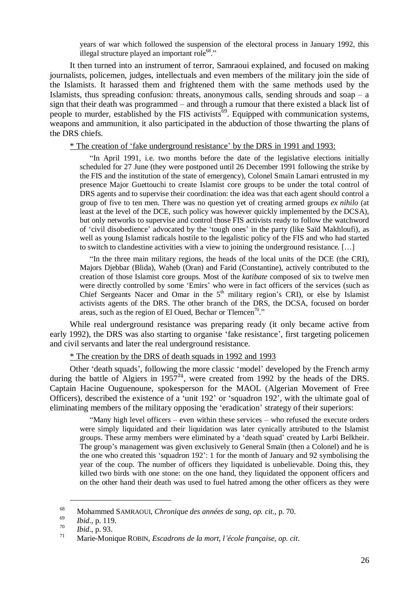years of war which followed the suspension of the electoral process in January 1992, this illegal structure played an important role<sup>68</sup>."

It then turned into an instrument of terror, Samraoui explained, and focused on making journalists, policemen, judges, intellectuals and even members of the military join the side of the Islamists. It harassed them and frightened them with the same methods used by the Islamists, thus spreading confusion: threats, anonymous calls, sending shrouds and soap  $-$  a sign that their death was programmed – and through a rumour that there existed a black list of people to murder, established by the FIS activists<sup>69</sup>. Equipped with communication systems, weapons and ammunition, it also participated in the abduction of those thwarting the plans of the DRS chiefs.

\* The creation of 'fake underground resistance' by the DRS in 1991 and 1993:

"In April 1991, i.e. two months before the date of the legislative elections initially scheduled for 27 June (they were postponed until 26 December 1991 following the strike by the FIS and the institution of the state of emergency), Colonel Smaïn Lamari entrusted in my presence Major Guettouchi to create Islamist core groups to be under the total control of DRS agents and to supervise their coordination: the idea was that each agent should control a group of five to ten men. There was no question yet of creating armed groups *ex nihilo* (at least at the level of the DCE, such policy was however quickly implemented by the DCSA), but only networks to supervise and control those FIS activists ready to follow the watchword of 'civil disobedience' advocated by the 'tough ones' in the party (like Saïd Makhloufi), as well as young Islamist radicals hostile to the legalistic policy of the FIS and who had started to switch to clandestine activities with a view to joining the underground resistance. […]

"In the three main military regions, the heads of the local units of the DCE (the CRI), Majors Djebbar (Blida), Waheb (Oran) and Farid (Constantine), actively contributed to the creation of those Islamist core groups. Most of the *katibate* composed of six to twelve men were directly controlled by some 'Emirs' who were in fact officers of the services (such as Chief Sergeants Nacer and Omar in the  $5<sup>th</sup>$  military region's CRI), or else by Islamist activists agents of the DRS. The other branch of the DRS, the DCSA, focused on border areas, such as the region of El Oued, Bechar or Tlemcen<sup>70</sup>."

While real underground resistance was preparing ready (it only became active from early 1992), the DRS was also starting to organise 'fake resistance', first targeting policemen and civil servants and later the real underground resistance.

\* The creation by the DRS of death squads in 1992 and 1993

Other 'death squads', following the more classic 'model' developed by the French army during the battle of Algiers in  $1957^{7+}$ , were created from 1992 by the heads of the DRS. Captain Hacine Ouguenoune, spokesperson for the MAOL (Algerian Movement of Free Officers), described the existence of a 'unit 192' or 'squadron 192', with the ultimate goal of eliminating members of the military opposing the 'eradication' strategy of their superiors:

"Many high level officers – even within these services – who refused the execute orders were simply liquidated and their liquidation was later cynically attributed to the Islamist groups. These army members were eliminated by a 'death squad' created by Larbi Belkheir. The group's management was given exclusively to General Smaïn (then a Colonel) and he is the one who created this 'squadron 192': 1 for the month of January and 92 symbolising the year of the coup. The number of officers they liquidated is unbelievable. Doing this, they killed two birds with one stone: on the one hand, they liquidated the opponent officers and on the other hand their death was used to fuel hatred among the other officers as they were

<sup>68</sup> Mohammed SAMRAOUI, *Chronique des années de sang*, *op. cit.*, p. 70.

<sup>69</sup> *Ibid*., p. 119.

<sup>70</sup> *Ibid*., p. 93.

<sup>71</sup> Marie-Monique ROBIN, *Escadrons de la mort, l'école française*, *op. cit*.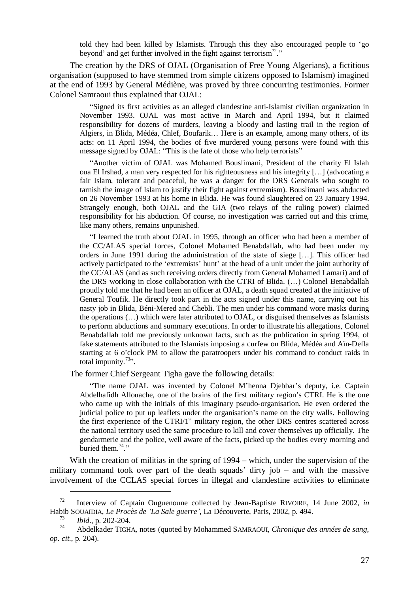told they had been killed by Islamists. Through this they also encouraged people to 'go beyond' and get further involved in the fight against terrorism<sup>72</sup>."

The creation by the DRS of OJAL (Organisation of Free Young Algerians), a fictitious organisation (supposed to have stemmed from simple citizens opposed to Islamism) imagined at the end of 1993 by General Médiène, was proved by three concurring testimonies. Former Colonel Samraoui thus explained that OJAL:

"Signed its first activities as an alleged clandestine anti-Islamist civilian organization in November 1993. OJAL was most active in March and April 1994, but it claimed responsibility for dozens of murders, leaving a bloody and lasting trail in the region of Algiers, in Blida, Médéa, Chlef, Boufarik… Here is an example, among many others, of its acts: on 11 April 1994, the bodies of five murdered young persons were found with this message signed by OJAL: "This is the fate of those who help terrorists"

"Another victim of OJAL was Mohamed Bouslimani, President of the charity El Islah oua El Irshad, a man very respected for his righteousness and his integrity […] (advocating a fair Islam, tolerant and peaceful, he was a danger for the DRS Generals who sought to tarnish the image of Islam to justify their fight against extremism). Bouslimani was abducted on 26 November 1993 at his home in Blida. He was found slaughtered on 23 January 1994. Strangely enough, both OJAL and the GIA (two relays of the ruling power) claimed responsibility for his abduction. Of course, no investigation was carried out and this crime, like many others, remains unpunished.

"I learned the truth about OJAL in 1995, through an officer who had been a member of the CC/ALAS special forces, Colonel Mohamed Benabdallah, who had been under my orders in June 1991 during the administration of the state of siege […]. This officer had actively participated to the 'extremists' hunt' at the head of a unit under the joint authority of the CC/ALAS (and as such receiving orders directly from General Mohamed Lamari) and of the DRS working in close collaboration with the CTRI of Blida. (…) Colonel Benabdallah proudly told me that he had been an officer at OJAL, a death squad created at the initiative of General Toufik. He directly took part in the acts signed under this name, carrying out his nasty job in Blida, Béni-Mered and Chebli. The men under his command wore masks during the operations (…) which were later attributed to OJAL, or disguised themselves as Islamists to perform abductions and summary executions. In order to illustrate his allegations, Colonel Benabdallah told me previously unknown facts, such as the publication in spring 1994, of fake statements attributed to the Islamists imposing a curfew on Blida, Médéa and Aïn-Defla starting at 6 o'clock PM to allow the paratroopers under his command to conduct raids in total impunity. $73$ ".

The former Chief Sergeant Tigha gave the following details:

"The name OJAL was invented by Colonel M'henna Djebbar's deputy, i.e. Captain Abdelhafidh Allouache, one of the brains of the first military region's CTRI. He is the one who came up with the initials of this imaginary pseudo-organisation. He even ordered the judicial police to put up leaflets under the organisation's name on the city walls. Following the first experience of the CTRI/1<sup>st</sup> military region, the other DRS centres scattered across the national territory used the same procedure to kill and cover themselves up officially. The gendarmerie and the police, well aware of the facts, picked up the bodies every morning and buried them.<sup>74</sup> $\cdot$ "

With the creation of militias in the spring of 1994 – which, under the supervision of the military command took over part of the death squads' dirty job – and with the massive involvement of the CCLAS special forces in illegal and clandestine activities to eliminate

<sup>72</sup> Interview of Captain Ouguenoune collected by Jean-Baptiste RIVOIRE, 14 June 2002, *in* Habib SOUAÏDIA, *Le Procès de 'La Sale guerre'*, La Découverte, Paris, 2002, p. 494.

<sup>73</sup> *Ibid*., p. 202-204.

<sup>74</sup> Abdelkader TIGHA, notes (quoted by Mohammed SAMRAOUI, *Chronique des années de sang*, *op. cit.*, p. 204).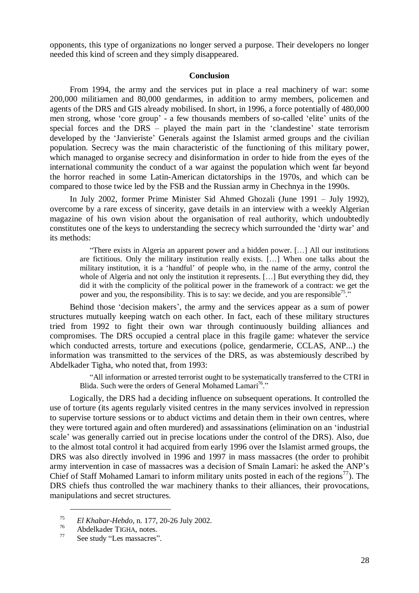opponents, this type of organizations no longer served a purpose. Their developers no longer needed this kind of screen and they simply disappeared.

#### **Conclusion**

From 1994, the army and the services put in place a real machinery of war: some 200,000 militiamen and 80,000 gendarmes, in addition to army members, policemen and agents of the DRS and GIS already mobilised. In short, in 1996, a force potentially of 480,000 men strong, whose 'core group'- a few thousands members of so-called 'elite' units of the special forces and the DRS – played the main part in the 'clandestine' state terrorism developed by the 'Janvieriste' Generals against the Islamist armed groups and the civilian population. Secrecy was the main characteristic of the functioning of this military power, which managed to organise secrecy and disinformation in order to hide from the eyes of the international community the conduct of a war against the population which went far beyond the horror reached in some Latin-American dictatorships in the 1970s, and which can be compared to those twice led by the FSB and the Russian army in Chechnya in the 1990s.

In July 2002, former Prime Minister Sid Ahmed Ghozali (June 1991 – July 1992), overcome by a rare excess of sincerity, gave details in an interview with a weekly Algerian magazine of his own vision about the organisation of real authority, which undoubtedly constitutes one of the keys to understanding the secrecy which surrounded the 'dirty war' and its methods:

"There exists in Algeria an apparent power and a hidden power. […] All our institutions are fictitious. Only the military institution really exists. […] When one talks about the military institution, it is a 'handful' of people who, in the name of the army, control the whole of Algeria and not only the institution it represents. [...] But everything they did, they did it with the complicity of the political power in the framework of a contract: we get the power and you, the responsibility. This is to say: we decide, and you are responsible<sup>75</sup>."

Behind those 'decision makers', the army and the services appear as a sum of power structures mutually keeping watch on each other. In fact, each of these military structures tried from 1992 to fight their own war through continuously building alliances and compromises. The DRS occupied a central place in this fragile game: whatever the service which conducted arrests, torture and executions (police, gendarmerie, CCLAS, ANP...) the information was transmitted to the services of the DRS, as was abstemiously described by Abdelkader Tigha, who noted that, from 1993:

"All information or arrested terrorist ought to be systematically transferred to the CTRI in Blida. Such were the orders of General Mohamed Lamari<sup>76</sup>."

Logically, the DRS had a deciding influence on subsequent operations. It controlled the use of torture (its agents regularly visited centres in the many services involved in repression to supervise torture sessions or to abduct victims and detain them in their own centres, where they were tortured again and often murdered) and assassinations (elimination on an 'industrial scale' was generally carried out in precise locations under the control of the DRS). Also, due to the almost total control it had acquired from early 1996 over the Islamist armed groups, the DRS was also directly involved in 1996 and 1997 in mass massacres (the order to prohibit army intervention in case of massacres was a decision of Smaïn Lamari: he asked the ANP's Chief of Staff Mohamed Lamari to inform military units posted in each of the regions<sup>77</sup>). The DRS chiefs thus controlled the war machinery thanks to their alliances, their provocations, manipulations and secret structures.

<sup>75</sup> *El Khabar-Hebdo*, n. 177, 20-26 July 2002.

 $^{76}$  Abdelkader TIGHA, notes.

See study "Les massacres".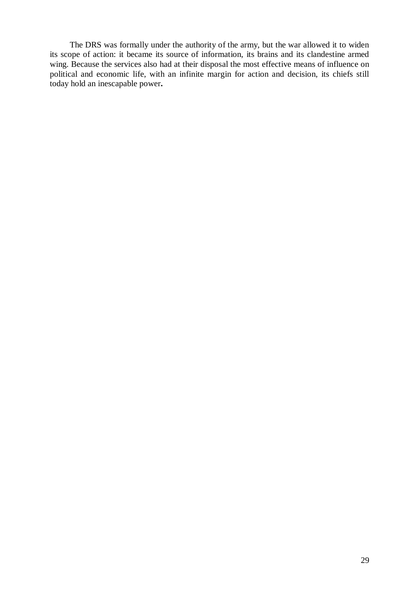The DRS was formally under the authority of the army, but the war allowed it to widen its scope of action: it became its source of information, its brains and its clandestine armed wing. Because the services also had at their disposal the most effective means of influence on political and economic life, with an infinite margin for action and decision, its chiefs still today hold an inescapable power**.**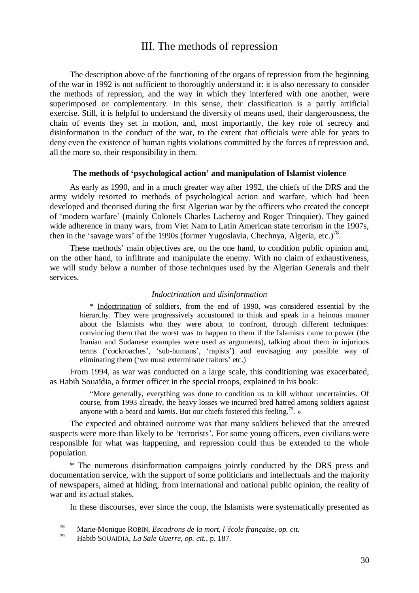# III. The methods of repression

The description above of the functioning of the organs of repression from the beginning of the war in 1992 is not sufficient to thoroughly understand it: it is also necessary to consider the methods of repression, and the way in which they interfered with one another, were superimposed or complementary. In this sense, their classification is a partly artificial exercise. Still, it is helpful to understand the diversity of means used, their dangerousness, the chain of events they set in motion, and, most importantly, the key role of secrecy and disinformation in the conduct of the war, to the extent that officials were able for years to deny even the existence of human rights violations committed by the forces of repression and, all the more so, their responsibility in them.

#### **The methods of 'psychological action' and manipulation of Islamist violence**

As early as 1990, and in a much greater way after 1992, the chiefs of the DRS and the army widely resorted to methods of psychological action and warfare, which had been developed and theorised during the first Algerian war by the officers who created the concept of 'modern warfare' (mainly Colonels Charles Lacheroy and Roger Trinquier). They gained wide adherence in many wars, from Viet Nam to Latin American state terrorism in the 1907s, then in the 'savage wars' of the 1990s (former Yugoslavia, Chechnya, Algeria, etc.)<sup>78</sup>.

These methods' main objectives are, on the one hand, to condition public opinion and, on the other hand, to infiltrate and manipulate the enemy. With no claim of exhaustiveness, we will study below a number of those techniques used by the Algerian Generals and their services.

#### *Indoctrination and disinformation*

\* Indoctrination of soldiers, from the end of 1990, was considered essential by the hierarchy. They were progressively accustomed to think and speak in a heinous manner about the Islamists who they were about to confront, through different techniques: convincing them that the worst was to happen to them if the Islamists came to power (the Iranian and Sudanese examples were used as arguments), talking about them in injurious terms ('cockroaches', 'sub-humans', 'rapists') and envisaging any possible way of eliminating them ('we must exterminate traitors' etc.)

From 1994, as war was conducted on a large scale, this conditioning was exacerbated, as Habib Souaïdia, a former officer in the special troops, explained in his book:

"More generally, everything was done to condition us to kill without uncertainties. Of course, from 1993 already, the heavy losses we incurred bred hatred among soldiers against anyone with a beard and *kamis*. But our chiefs fostered this feeling.<sup>79</sup>. »

The expected and obtained outcome was that many soldiers believed that the arrested suspects were more than likely to be 'terrorists'. For some young officers, even civilians were responsible for what was happening, and repression could thus be extended to the whole population.

\* The numerous disinformation campaigns jointly conducted by the DRS press and documentation service, with the support of some politicians and intellectuals and the majority of newspapers, aimed at hiding, from international and national public opinion, the reality of war and its actual stakes.

In these discourses, ever since the coup, the Islamists were systematically presented as

<sup>78</sup> Marie-Monique ROBIN, *Escadrons de la mort, l'école française*, *op. cit*.

<sup>79</sup> Habib SOUAÏDIA, *La Sale Guerre*, *op. cit.*, p. 187.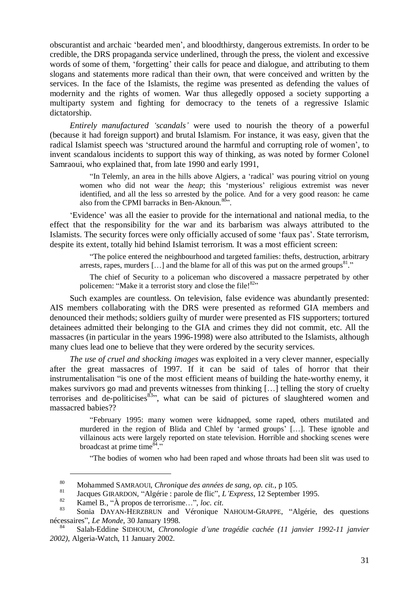obscurantist and archaic 'bearded men', and bloodthirsty, dangerous extremists. In order to be credible, the DRS propaganda service underlined, through the press, the violent and excessive words of some of them, 'forgetting' their calls for peace and dialogue, and attributing to them slogans and statements more radical than their own, that were conceived and written by the services. In the face of the Islamists, the regime was presented as defending the values of modernity and the rights of women. War thus allegedly opposed a society supporting a multiparty system and fighting for democracy to the tenets of a regressive Islamic dictatorship.

*Entirely manufactured 'scandals'*were used to nourish the theory of a powerful (because it had foreign support) and brutal Islamism. For instance, it was easy, given that the radical Islamist speech was 'structured around the harmful and corrupting role of women', to invent scandalous incidents to support this way of thinking, as was noted by former Colonel Samraoui, who explained that, from late 1990 and early 1991,

"In Telemly, an area in the hills above Algiers, a 'radical' was pouring vitriol on young women who did not wear the *heap*; this 'mysterious' religious extremist was never identified, and all the less so arrested by the police. And for a very good reason: he came also from the CPMI barracks in Ben-Aknoun.<sup>80</sup>".

'Evidence' was all the easier to provide for the international and national media, to the effect that the responsibility for the war and its barbarism was always attributed to the Islamists. The security forces were only officially accused of some 'faux pas'. State terrorism, despite its extent, totally hid behind Islamist terrorism. It was a most efficient screen:

"The police entered the neighbourhood and targeted families: thefts, destruction, arbitrary arrests, rapes, murders  $[...]$  and the blame for all of this was put on the armed groups<sup>81</sup>."

The chief of Security to a policeman who discovered a massacre perpetrated by other policemen: "Make it a terrorist story and close the file! $82$ "

Such examples are countless. On television, false evidence was abundantly presented: AIS members collaborating with the DRS were presented as reformed GIA members and denounced their methods; soldiers guilty of murder were presented as FIS supporters; tortured detainees admitted their belonging to the GIA and crimes they did not commit, etc. All the massacres (in particular in the years 1996-1998) were also attributed to the Islamists, although many clues lead one to believe that they were ordered by the security services.

*The use of cruel and shocking images* was exploited in a very clever manner, especially after the great massacres of 1997. If it can be said of tales of horror that their instrumentalisation "is one of the most efficient means of building the hate-worthy enemy, it makes survivors go mad and prevents witnesses from thinking […] telling the story of cruelty terrorises and de-politicises $\frac{83}{3}$ , what can be said of pictures of slaughtered women and massacred babies??

"February 1995: many women were kidnapped, some raped, others mutilated and murdered in the region of Blida and Chlef by 'armed groups' […]. These ignoble and villainous acts were largely reported on state television. Horrible and shocking scenes were broadcast at prime time $\overset{\overline{\delta}4}{\cdots}$ 

"The bodies of women who had been raped and whose throats had been slit was used to

<sup>80</sup> Mohammed SAMRAOUI, *Chronique des années de sang*, *op. cit.*, p 105.

<sup>81</sup> Jacques GIRARDON, "Algérie : parole de flic", *L'Express*, 12 September 1995.

<sup>82</sup> Kamel B., "À propos de terrorisme…", *loc. cit*.

Sonia DAYAN-HERZBRUN and Véronique NAHOUM-GRAPPE, "Algérie, des questions nécessaires", *Le Monde*, 30 January 1998.

<sup>84</sup> Salah-Eddine SIDHOUM, *Chronologie d'une tragédie cachée (11 janvier 1992-11 janvier 2002)*, Algeria-Watch, 11 January 2002.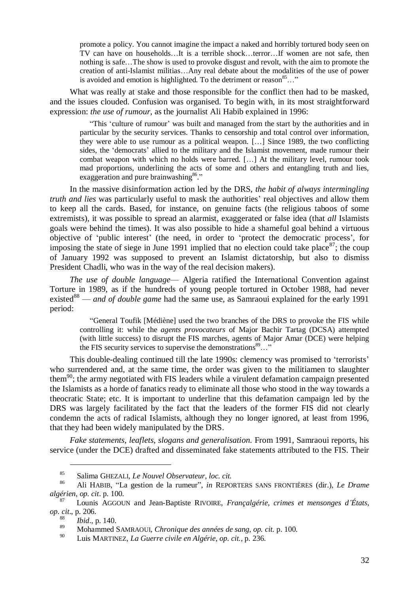promote a policy. You cannot imagine the impact a naked and horribly tortured body seen on TV can have on households…It is a terrible shock…terror…If women are not safe, then nothing is safe…The show is used to provoke disgust and revolt, with the aim to promote the creation of anti-Islamist militias…Any real debate about the modalities of the use of power is avoided and emotion is highlighted. To the detriment or reason<sup>85</sup>..."

What was really at stake and those responsible for the conflict then had to be masked, and the issues clouded. Confusion was organised. To begin with, in its most straightforward expression: *the use of rumour,* as the journalist Ali Habib explained in 1996:

"This 'culture of rumour' was built and managed from the start by the authorities and in particular by the security services. Thanks to censorship and total control over information, they were able to use rumour as a political weapon. […] Since 1989, the two conflicting sides, the 'democrats' allied to the military and the Islamist movement, made rumour their combat weapon with which no holds were barred. […] At the military level, rumour took mad proportions, underlining the acts of some and others and entangling truth and lies, exaggeration and pure brainwashing<sup>86</sup>."

In the massive disinformation action led by the DRS, *the habit of always intermingling truth and lies* was particularly useful to mask the authorities' real objectives and allow them to keep all the cards. Based, for instance, on genuine facts (the religious taboos of some extremists), it was possible to spread an alarmist, exaggerated or false idea (that *all* Islamists goals were behind the times). It was also possible to hide a shameful goal behind a virtuous objective of 'public interest' (the need, in order to 'protect the democratic process', for imposing the state of siege in June 1991 implied that no election could take place  $87$ ; the coup of January 1992 was supposed to prevent an Islamist dictatorship, but also to dismiss President Chadli, who was in the way of the real decision makers).

*The use of double language*— Algeria ratified the International Convention against Torture in 1989, as if the hundreds of young people tortured in October 1988, had never existed<sup>88</sup> — *and of double game* had the same use, as Samraoui explained for the early 1991 period:

"General Toufik [Médiène] used the two branches of the DRS to provoke the FIS while controlling it: while the *agents provocateurs* of Major Bachir Tartag (DCSA) attempted (with little success) to disrupt the FIS marches, agents of Major Amar (DCE) were helping the FIS security services to supervise the demonstrations ${}^{89}$ ..."

This double-dealing continued till the late 1990s: clemency was promised to 'terrorists' who surrendered and, at the same time, the order was given to the militiamen to slaughter them<sup>90</sup>; the army negotiated with FIS leaders while a virulent defamation campaign presented the Islamists as a horde of fanatics ready to eliminate all those who stood in the way towards a theocratic State; etc. It is important to underline that this defamation campaign led by the DRS was largely facilitated by the fact that the leaders of the former FIS did not clearly condemn the acts of radical Islamists, although they no longer ignored, at least from 1996, that they had been widely manipulated by the DRS.

*Fake statements, leaflets, slogans and generalisation.* From 1991, Samraoui reports, his service (under the DCE) drafted and disseminated fake statements attributed to the FIS. Their

<sup>85</sup> Salima GHEZALI, *Le Nouvel Observateur*, *loc. cit.*

<sup>86</sup> Ali HABIB, "La gestion de la rumeur", *in* REPORTERS SANS FRONTIÈRES (dir.), *Le Drame algérien*, *op. cit*. p. 100.

<sup>87</sup> Lounis AGGOUN and Jean-Baptiste RIVOIRE, *Françalgérie, crimes et mensonges d'États*, *op. cit*., p. 206.

<sup>88</sup> *Ibid*., p. 140.

<sup>89</sup> Mohammed SAMRAOUI, *Chronique des années de sang*, *op. cit.* p. 100.

<sup>90</sup> Luis MARTINEZ, *La Guerre civile en Algérie*, *op. cit.*, p. 236.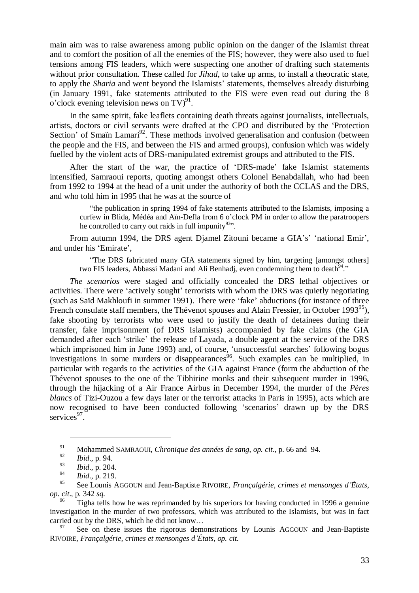main aim was to raise awareness among public opinion on the danger of the Islamist threat and to comfort the position of all the enemies of the FIS; however, they were also used to fuel tensions among FIS leaders, which were suspecting one another of drafting such statements without prior consultation. These called for *Jihad*, to take up arms, to install a theocratic state, to apply the *Sharia* and went beyond the Islamists' statements, themselves already disturbing (in January 1991, fake statements attributed to the FIS were even read out during the 8 o'clock evening television news on TV $)^{91}$ .

In the same spirit, fake leaflets containing death threats against journalists, intellectuals, artists, doctors or civil servants were drafted at the CPO and distributed by the 'Protection Section' of Smaïn Lamari<sup>92</sup>. These methods involved generalisation and confusion (between the people and the FIS, and between the FIS and armed groups), confusion which was widely fuelled by the violent acts of DRS-manipulated extremist groups and attributed to the FIS.

After the start of the war, the practice of 'DRS-made' fake Islamist statements intensified, Samraoui reports, quoting amongst others Colonel Benabdallah, who had been from 1992 to 1994 at the head of a unit under the authority of both the CCLAS and the DRS, and who told him in 1995 that he was at the source of

"the publication in spring 1994 of fake statements attributed to the Islamists, imposing a curfew in Blida, Médéa and Aïn-Defla from 6 o'clock PM in order to allow the paratroopers he controlled to carry out raids in full impunity $93$ ".

From autumn 1994, the DRS agent Djamel Zitouni became a GIA's' 'national Emir', and under his 'Emirate',

"The DRS fabricated many GIA statements signed by him, targeting [amongst others] two FIS leaders, Abbassi Madani and Ali Benhadj, even condemning them to death<sup>94</sup>."

*The scenarios* were staged and officially concealed the DRS lethal objectives or activities. There were 'actively sought' terrorists with whom the DRS was quietly negotiating (such as Saïd Makhloufi in summer 1991). There were 'fake' abductions (for instance of three French consulate staff members, the Thévenot spouses and Alain Fressier, in October 1993<sup>95</sup>), fake shooting by terrorists who were used to justify the death of detainees during their transfer, fake imprisonment (of DRS Islamists) accompanied by fake claims (the GIA demanded after each 'strike' the release of Layada, a double agent at the service of the DRS which imprisoned him in June 1993) and, of course, 'unsuccessful searches' following bogus investigations in some murders or disappearances<sup>96</sup>. Such examples can be multiplied, in particular with regards to the activities of the GIA against France (form the abduction of the Thévenot spouses to the one of the Tibhirine monks and their subsequent murder in 1996, through the hijacking of a Air France Airbus in December 1994, the murder of the *Pères blancs* of Tizi-Ouzou a few days later or the terrorist attacks in Paris in 1995), acts which are now recognised to have been conducted following 'scenarios' drawn up by the DRS services<sup>97</sup>.

<sup>91</sup> Mohammed SAMRAOUI, *Chronique des années de sang*, *op. cit.*, p. 66 and 94.

<sup>92</sup> *Ibid*., p. 94.

<sup>93</sup> *Ibid*., p. 204.

 $\frac{94}{95}$  *Ibid.*, p. 219.

<sup>95</sup> See Lounis AGGOUN and Jean-Baptiste RIVOIRE, *Françalgérie, crimes et mensonges d'États*, *op. cit*., p. 342 *sq*.

Tigha tells how he was reprimanded by his superiors for having conducted in 1996 a genuine investigation in the murder of two professors, which was attributed to the Islamists, but was in fact carried out by the DRS, which he did not know...<br><sup>97</sup> See on these issues the rigorous demonstrations by Lounis AGGOUN and Jean-Baptiste

RIVOIRE, *Françalgérie, crimes et mensonges d'États*, *op. cit*.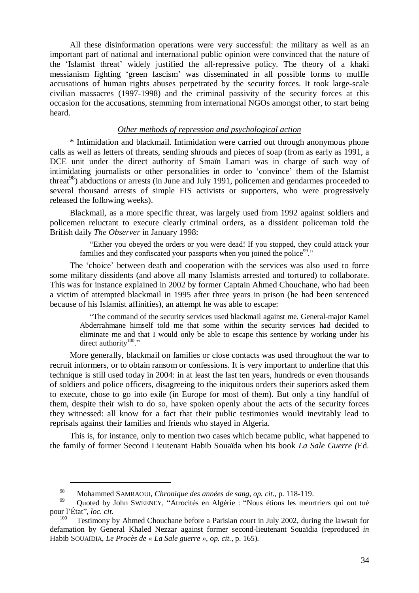All these disinformation operations were very successful: the military as well as an important part of national and international public opinion were convinced that the nature of the 'Islamist threat' widely justified the all-repressive policy. The theory of a khaki messianism fighting 'green fascism' was disseminated in all possible forms to muffle accusations of human rights abuses perpetrated by the security forces. It took large-scale civilian massacres (1997-1998) and the criminal passivity of the security forces at this occasion for the accusations, stemming from international NGOs amongst other, to start being heard.

#### *Other methods of repression and psychological action*

\* Intimidation and blackmail. Intimidation were carried out through anonymous phone calls as well as letters of threats, sending shrouds and pieces of soap (from as early as 1991, a DCE unit under the direct authority of Smaïn Lamari was in charge of such way of intimidating journalists or other personalities in order to 'convince' them of the Islamist threat<sup>98</sup>) abductions or arrests (in June and July 1991, policemen and gendarmes proceeded to several thousand arrests of simple FIS activists or supporters, who were progressively released the following weeks).

Blackmail, as a more specific threat, was largely used from 1992 against soldiers and policemen reluctant to execute clearly criminal orders, as a dissident policeman told the British daily *The Observer* in January 1998:

"Either you obeyed the orders or you were dead! If you stopped, they could attack your families and they confiscated your passports when you joined the police<sup>99</sup>."

The 'choice' between death and cooperation with the services was also used to force some military dissidents (and above all many Islamists arrested and tortured) to collaborate. This was for instance explained in 2002 by former Captain Ahmed Chouchane, who had been a victim of attempted blackmail in 1995 after three years in prison (he had been sentenced because of his Islamist affinities), an attempt he was able to escape:

"The command of the security services used blackmail against me. General-major Kamel Abderrahmane himself told me that some within the security services had decided to eliminate me and that I would only be able to escape this sentence by working under his direct authority $100$ ."

More generally, blackmail on families or close contacts was used throughout the war to recruit informers, or to obtain ransom or confessions. It is very important to underline that this technique is still used today in 2004: in at least the last ten years, hundreds or even thousands of soldiers and police officers, disagreeing to the iniquitous orders their superiors asked them to execute, chose to go into exile (in Europe for most of them). But only a tiny handful of them, despite their wish to do so, have spoken openly about the acts of the security forces they witnessed: all know for a fact that their public testimonies would inevitably lead to reprisals against their families and friends who stayed in Algeria.

This is, for instance, only to mention two cases which became public, what happened to the family of former Second Lieutenant Habib Souaïda when his book *La Sale Guerre (*Ed.

<sup>98</sup> Mohammed SAMRAOUI, *Chronique des années de sang*, *op. cit.*, p. 118-119.

Quoted by John SWEENEY, "Atrocités en Algérie : "Nous étions les meurtriers qui ont tué pour l'État", *loc. cit.*

Testimony by Ahmed Chouchane before a Parisian court in July 2002, during the lawsuit for defamation by General Khaled Nezzar against former second-lieutenant Souaïdia (reproduced *in* Habib SOUAÏDIA, *Le Procès de « La Sale guerre »*, *op. cit.*, p. 165).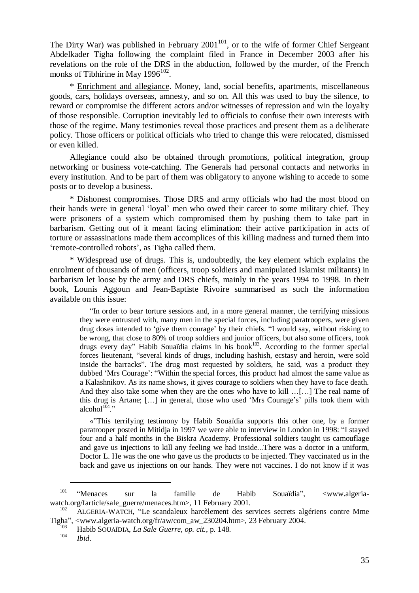The Dirty War) was published in February  $2001^{101}$ , or to the wife of former Chief Sergeant Abdelkader Tigha following the complaint filed in France in December 2003 after his revelations on the role of the DRS in the abduction, followed by the murder, of the French monks of Tibhirine in May  $1996^{102}$ .

\* Enrichment and allegiance. Money, land, social benefits, apartments, miscellaneous goods, cars, holidays overseas, amnesty, and so on. All this was used to buy the silence, to reward or compromise the different actors and/or witnesses of repression and win the loyalty of those responsible. Corruption inevitably led to officials to confuse their own interests with those of the regime. Many testimonies reveal those practices and present them as a deliberate policy. Those officers or political officials who tried to change this were relocated, dismissed or even killed.

Allegiance could also be obtained through promotions, political integration, group networking or business vote-catching. The Generals had personal contacts and networks in every institution. And to be part of them was obligatory to anyone wishing to accede to some posts or to develop a business.

\* Dishonest compromises. Those DRS and army officials who had the most blood on their hands were in general 'loyal' men who owed their career to some military chief. They were prisoners of a system which compromised them by pushing them to take part in barbarism. Getting out of it meant facing elimination: their active participation in acts of torture or assassinations made them accomplices of this killing madness and turned them into 'remote-controlled robots', as Tigha called them.

\* Widespread use of drugs. This is, undoubtedly, the key element which explains the enrolment of thousands of men (officers, troop soldiers and manipulated Islamist militants) in barbarism let loose by the army and DRS chiefs, mainly in the years 1994 to 1998. In their book, Lounis Aggoun and Jean-Baptiste Rivoire summarised as such the information available on this issue:

"In order to bear torture sessions and, in a more general manner, the terrifying missions they were entrusted with, many men in the special forces, including paratroopers, were given drug doses intended to 'give them courage' by their chiefs. "I would say, without risking to be wrong, that close to 80% of troop soldiers and junior officers, but also some officers, took drugs every day" Habib Souaïdia claims in his book<sup>103</sup>. According to the former special forces lieutenant, "several kinds of drugs, including hashish, ecstasy and heroin, were sold inside the barracks". The drug most requested by soldiers, he said, was a product they dubbed 'Mrs Courage': "Within the special forces, this product had almost the same value as a Kalashnikov. As its name shows, it gives courage to soldiers when they have to face death. And they also take some when they are the ones who have to kill …[…] The real name of this drug is Artane; […] in general, those who used 'Mrs Courage's' pills took them with alcohol $^{1\bar{0}4}$ ."

«"This terrifying testimony by Habib Souaïdia supports this other one, by a former paratrooper posted in Mitidja in 1997 we were able to interview in London in 1998: "I stayed four and a half months in the Biskra Academy. Professional soldiers taught us camouflage and gave us injections to kill any feeling we had inside...There was a doctor in a uniform, Doctor L. He was the one who gave us the products to be injected. They vaccinated us in the back and gave us injections on our hands. They were not vaccines. I do not know if it was

<sup>101</sup> "Menaces sur la famille de Habib Souaïdia", <www.algeriawatch.org/farticle/sale\_guerre/menaces.htm>, 11 February 2001.

<sup>102</sup> ALGERIA-WATCH, "Le scandaleux harcèlement des services secrets algériens contre Mme Tigha", <www.algeria-watch.org/fr/aw/com\_aw\_230204.htm>, 23 February 2004.

<sup>103</sup> Habib SOUAÏDIA, *La Sale Guerre*, *op. cit.*, p. 148.

*Ibid.*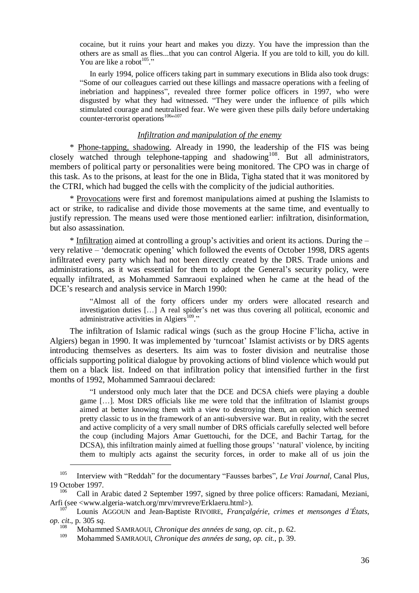cocaine, but it ruins your heart and makes you dizzy. You have the impression than the others are as small as flies...that you can control Algeria. If you are told to kill, you do kill. You are like a robot  $105$ ."

In early 1994, police officers taking part in summary executions in Blida also took drugs: "Some of our colleagues carried out these killings and massacre operations with a feeling of inebriation and happiness", revealed three former police officers in 1997, who were disgusted by what they had witnessed. "They were under the influence of pills which stimulated courage and neutralised fear. We were given these pills daily before undertaking counter-terrorist operations<sup>106</sup>"107

# *Infiltration and manipulation of the enemy*

\* Phone-tapping, shadowing. Already in 1990, the leadership of the FIS was being closely watched through telephone-tapping and shadowing<sup>108</sup>. But all administrators, members of political party or personalities were being monitored. The CPO was in charge of this task. As to the prisons, at least for the one in Blida, Tigha stated that it was monitored by the CTRI, which had bugged the cells with the complicity of the judicial authorities.

\* Provocations were first and foremost manipulations aimed at pushing the Islamists to act or strike, to radicalise and divide those movements at the same time, and eventually to justify repression. The means used were those mentioned earlier: infiltration, disinformation, but also assassination.

\* Infiltration aimed at controlling a group's activities and orient its actions. During the – very relative –'democratic opening' which followed the events of October 1998, DRS agents infiltrated every party which had not been directly created by the DRS. Trade unions and administrations, as it was essential for them to adopt the General's security policy, were equally infiltrated, as Mohammed Samraoui explained when he came at the head of the DCE's research and analysis service in March 1990:

"Almost all of the forty officers under my orders were allocated research and investigation duties […] A real spider's net was thus covering all political, economic and administrative activities in Algiers<sup>109</sup>."

The infiltration of Islamic radical wings (such as the group Hocine F'licha, active in Algiers) began in 1990. It was implemented by 'turncoat' Islamist activists or by DRS agents introducing themselves as deserters. Its aim was to foster division and neutralise those officials supporting political dialogue by provoking actions of blind violence which would put them on a black list. Indeed on that infiltration policy that intensified further in the first months of 1992, Mohammed Samraoui declared:

"I understood only much later that the DCE and DCSA chiefs were playing a double game […]. Most DRS officials like me were told that the infiltration of Islamist groups aimed at better knowing them with a view to destroying them, an option which seemed pretty classic to us in the framework of an anti-subversive war. But in reality, with the secret and active complicity of a very small number of DRS officials carefully selected well before the coup (including Majors Amar Guettouchi, for the DCE, and Bachir Tartag, for the DCSA), this infiltration mainly aimed at fuelling those groups''natural' violence, by inciting them to multiply acts against the security forces, in order to make all of us join the

<sup>105</sup> Interview with "Reddah" for the documentary "Fausses barbes", *Le Vrai Journal*, Canal Plus, 19 October 1997.

<sup>106</sup> Call in Arabic dated 2 September 1997, signed by three police officers: Ramadani, Meziani, Arfi (see <www.algeria-watch.org/mrv/mrvreve/Erklaeru.html>).

<sup>107</sup> Lounis AGGOUN and Jean-Baptiste RIVOIRE, *Françalgérie, crimes et mensonges d'États*, *op. cit*., p. 305 *sq*.

<sup>108</sup> Mohammed SAMRAOUI, *Chronique des années de sang*, *op. cit.*, p. 62.

<sup>109</sup> Mohammed SAMRAOUI, *Chronique des années de sang*, *op. cit.*, p. 39.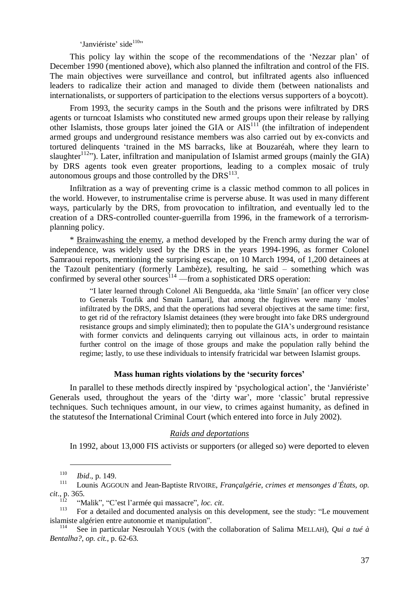'Janviériste' side<sup>110</sup>"

This policy lay within the scope of the recommendations of the 'Nezzar plan' of December 1990 (mentioned above), which also planned the infiltration and control of the FIS. The main objectives were surveillance and control, but infiltrated agents also influenced leaders to radicalize their action and managed to divide them (between nationalists and internationalists, or supporters of participation to the elections versus supporters of a boycott).

From 1993, the security camps in the South and the prisons were infiltrated by DRS agents or turncoat Islamists who constituted new armed groups upon their release by rallying other Islamists, those groups later joined the GIA or  $AIS<sup>111</sup>$  (the infiltration of independent armed groups and underground resistance members was also carried out by ex-convicts and tortured delinquents 'trained in the MS barracks, like at Bouzaréah, where they learn to slaughter<sup>112</sup>"). Later, infiltration and manipulation of Islamist armed groups (mainly the GIA) by DRS agents took even greater proportions, leading to a complex mosaic of truly  $\alpha$ utonomous groups and those controlled by the DRS $^{113}$ .

Infiltration as a way of preventing crime is a classic method common to all polices in the world. However, to instrumentalise crime is perverse abuse. It was used in many different ways, particularly by the DRS, from provocation to infiltration, and eventually led to the creation of a DRS-controlled counter-guerrilla from 1996, in the framework of a terrorismplanning policy.

\* Brainwashing the enemy, a method developed by the French army during the war of independence, was widely used by the DRS in the years 1994-1996, as former Colonel Samraoui reports, mentioning the surprising escape, on 10 March 1994, of 1,200 detainees at the Tazoult penitentiary (formerly Lambèze), resulting, he said – something which was confirmed by several other sources $114$  —from a sophisticated DRS operation:

"I later learned through Colonel Ali Benguedda, aka 'little Smaïn' [an officer very close to Generals Toufik and Smaïn Lamari], that among the fugitives were many 'moles' infiltrated by the DRS, and that the operations had several objectives at the same time: first, to get rid of the refractory Islamist detainees (they were brought into fake DRS underground resistance groups and simply eliminated); then to populate the GIA's underground resistance with former convicts and delinquents carrying out villainous acts, in order to maintain further control on the image of those groups and make the population rally behind the regime; lastly, to use these individuals to intensify fratricidal war between Islamist groups.

#### **Mass human rights violations by the 'security forces'**

In parallel to these methods directly inspired by 'psychological action', the 'Janviériste' Generals used, throughout the years of the 'dirty war', more 'classic' brutal repressive techniques. Such techniques amount, in our view, to crimes against humanity, as defined in the statutesof the International Criminal Court (which entered into force in July 2002).

## *Raids and deportations*

In 1992, about 13,000 FIS activists or supporters (or alleged so) were deported to eleven

<sup>110</sup> *Ibid*., p. 149.

<sup>111</sup> Lounis AGGOUN and Jean-Baptiste RIVOIRE, *Françalgérie, crimes et mensonges d'États*, *op. cit*., p. 365.

<sup>112</sup> "Malik", "C'est l'armée qui massacre", *loc. cit*.

For a detailed and documented analysis on this development, see the study: "Le mouvement islamiste algérien entre autonomie et manipulation".

<sup>114</sup> See in particular Nesroulah YOUS (with the collaboration of Salima MELLAH), *Qui a tué à Bentalha?*, *op. cit.*, p. 62-63.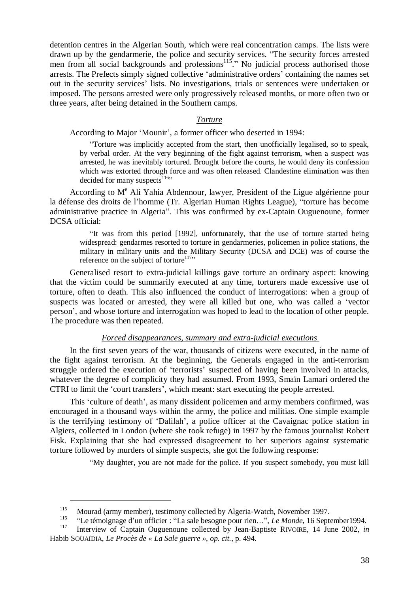detention centres in the Algerian South, which were real concentration camps. The lists were drawn up by the gendarmerie, the police and security services. "The security forces arrested men from all social backgrounds and professions<sup>115</sup>." No judicial process authorised those arrests. The Prefects simply signed collective 'administrative orders' containing the names set out in the security services' lists. No investigations, trials or sentences were undertaken or imposed. The persons arrested were only progressively released months, or more often two or three years, after being detained in the Southern camps.

#### *Torture*

According to Major 'Mounir', a former officer who deserted in 1994:

"Torture was implicitly accepted from the start, then unofficially legalised, so to speak, by verbal order. At the very beginning of the fight against terrorism, when a suspect was arrested, he was inevitably tortured. Brought before the courts, he would deny its confession which was extorted through force and was often released. Clandestine elimination was then decided for many suspects<sup>116</sup>"

According to M<sup>e</sup> Ali Yahia Abdennour, lawyer, President of the Ligue algérienne pour la défense des droits de l'homme (Tr. Algerian Human Rights League), "torture has become administrative practice in Algeria". This was confirmed by ex-Captain Ouguenoune, former DCSA official:

"It was from this period [1992], unfortunately, that the use of torture started being widespread: gendarmes resorted to torture in gendarmeries, policemen in police stations, the military in military units and the Military Security (DCSA and DCE) was of course the reference on the subject of torture<sup>117</sup>"

Generalised resort to extra-judicial killings gave torture an ordinary aspect: knowing that the victim could be summarily executed at any time, torturers made excessive use of torture, often to death. This also influenced the conduct of interrogations: when a group of suspects was located or arrested, they were all killed but one, who was called a 'vector person', and whose torture and interrogation was hoped to lead to the location of other people. The procedure was then repeated.

#### *Forced disappearances, summary and extra-judicial executions*

In the first seven years of the war, thousands of citizens were executed, in the name of the fight against terrorism. At the beginning, the Generals engaged in the anti-terrorism struggle ordered the execution of 'terrorists' suspected of having been involved in attacks, whatever the degree of complicity they had assumed. From 1993, Smaïn Lamari ordered the CTRI to limit the 'court transfers', which meant: start executing the people arrested.

This 'culture of death', as many dissident policemen and army members confirmed, was encouraged in a thousand ways within the army, the police and militias. One simple example is the terrifying testimony of 'Dalilah', a police officer at the Cavaignac police station in Algiers, collected in London (where she took refuge) in 1997 by the famous journalist Robert Fisk. Explaining that she had expressed disagreement to her superiors against systematic torture followed by murders of simple suspects, she got the following response:

"My daughter, you are not made for the police. If you suspect somebody, you must kill

 $\frac{115}{116}$  Mourad (army member), testimony collected by Algeria-Watch, November 1997.

<sup>116</sup> "Le témoignage d'un officier : "La sale besogne pour rien…", *Le Monde*, 16 September1994.

<sup>117</sup> Interview of Captain Ouguenoune collected by Jean-Baptiste RIVOIRE, 14 June 2002, *in* Habib SOUAÏDIA, *Le Procès de « La Sale guerre »*, *op. cit.*, p. 494.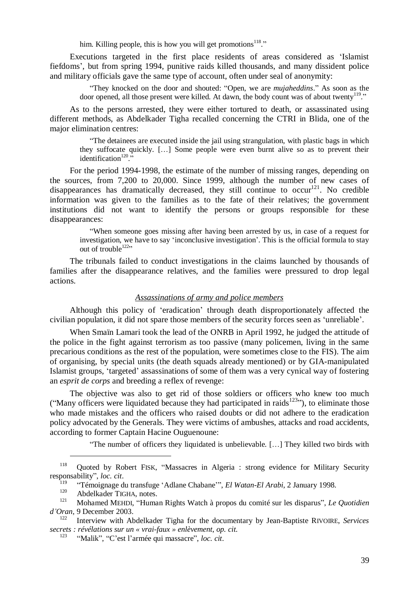him. Killing people, this is how you will get promotions<sup>118</sup>."

Executions targeted in the first place residents of areas considered as 'Islamist fiefdoms', but from spring 1994, punitive raids killed thousands, and many dissident police and military officials gave the same type of account, often under seal of anonymity:

"They knocked on the door and shouted: "Open, we are *mujaheddins*." As soon as the door opened, all those present were killed. At dawn, the body count was of about twenty<sup>119</sup>."

As to the persons arrested, they were either tortured to death, or assassinated using different methods, as Abdelkader Tigha recalled concerning the CTRI in Blida, one of the major elimination centres:

"The detainees are executed inside the jail using strangulation, with plastic bags in which they suffocate quickly. […] Some people were even burnt alive so as to prevent their identification<sup>120</sup>.

For the period 1994-1998, the estimate of the number of missing ranges, depending on the sources, from 7,200 to 20,000. Since 1999, although the number of new cases of disappearances has dramatically decreased, they still continue to  $occur<sup>121</sup>$ . No credible information was given to the families as to the fate of their relatives; the government institutions did not want to identify the persons or groups responsible for these disappearances:

"When someone goes missing after having been arrested by us, in case of a request for investigation, we have to say 'inconclusive investigation'. This is the official formula to stay out of trouble<sup>122</sup>"

The tribunals failed to conduct investigations in the claims launched by thousands of families after the disappearance relatives, and the families were pressured to drop legal actions.

# *Assassinations of army and police members*

Although this policy of 'eradication' through death disproportionately affected the civilian population, it did not spare those members of the security forces seen as 'unreliable'.

When Smaïn Lamari took the lead of the ONRB in April 1992, he judged the attitude of the police in the fight against terrorism as too passive (many policemen, living in the same precarious conditions as the rest of the population, were sometimes close to the FIS). The aim of organising, by special units (the death squads already mentioned) or by GIA-manipulated Islamist groups, 'targeted' assassinations of some of them was a very cynical way of fostering an *esprit de corps* and breeding a reflex of revenge:

The objective was also to get rid of those soldiers or officers who knew too much ("Many officers were liquidated because they had participated in raids<sup>123</sup>"), to eliminate those who made mistakes and the officers who raised doubts or did not adhere to the eradication policy advocated by the Generals. They were victims of ambushes, attacks and road accidents, according to former Captain Hacine Ouguenoune:

"The number of officers they liquidated is unbelievable. […] They killed two birds with

<sup>118</sup> Quoted by Robert FISK, "Massacres in Algeria : strong evidence for Military Security responsability", *loc. cit*.

<sup>119</sup> "Témoignage du transfuge 'Adlane Chabane'", *El Watan-El Arabi*, 2 January 1998.

 $^{120}$  Abdelkader TIGHA, notes.

<sup>121</sup> Mohamed MEHDI, "Human Rights Watch à propos du comité sur les disparus", *Le Quotidien d'Oran*, 9 December 2003.

<sup>122</sup> Interview with Abdelkader Tigha for the documentary by Jean-Baptiste RIVOIRE, *Services secrets : révélations sur un « vrai-faux » enlèvement*, *op. cit*.

<sup>123</sup> "Malik", "C'est l'armée qui massacre", *loc. cit*.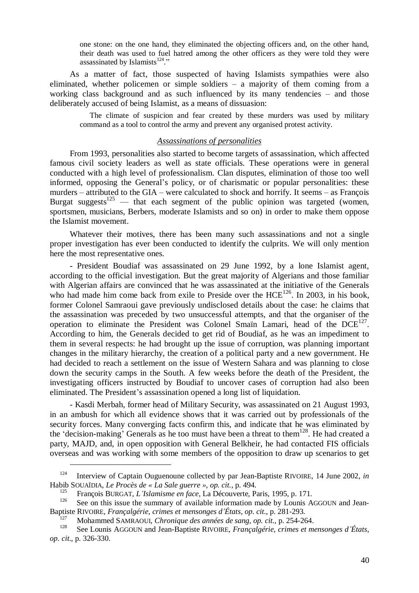one stone: on the one hand, they eliminated the objecting officers and, on the other hand, their death was used to fuel hatred among the other officers as they were told they were assassinated by Islamists<sup>124</sup>."

As a matter of fact, those suspected of having Islamists sympathies were also eliminated, whether policemen or simple soldiers – a majority of them coming from a working class background and as such influenced by its many tendencies – and those deliberately accused of being Islamist, as a means of dissuasion:

The climate of suspicion and fear created by these murders was used by military command as a tool to control the army and prevent any organised protest activity.

#### *Assassinations of personalities*

From 1993, personalities also started to become targets of assassination, which affected famous civil society leaders as well as state officials. These operations were in general conducted with a high level of professionalism. Clan disputes, elimination of those too well informed, opposing the General's policy, or of charismatic or popular personalities: these murders – attributed to the GIA – were calculated to shock and horrify. It seems – as François Burgat suggests<sup>125</sup> — that each segment of the public opinion was targeted (women, sportsmen, musicians, Berbers, moderate Islamists and so on) in order to make them oppose the Islamist movement.

Whatever their motives, there has been many such assassinations and not a single proper investigation has ever been conducted to identify the culprits. We will only mention here the most representative ones.

- President Boudiaf was assassinated on 29 June 1992, by a lone Islamist agent, according to the official investigation. But the great majority of Algerians and those familiar with Algerian affairs are convinced that he was assassinated at the initiative of the Generals who had made him come back from exile to Preside over the  $HCE^{126}$ . In 2003, in his book. former Colonel Samraoui gave previously undisclosed details about the case: he claims that the assassination was preceded by two unsuccessful attempts, and that the organiser of the operation to eliminate the President was Colonel Smain Lamari, head of the  $DCE^{127}$ . According to him, the Generals decided to get rid of Boudiaf, as he was an impediment to them in several respects: he had brought up the issue of corruption, was planning important changes in the military hierarchy, the creation of a political party and a new government. He had decided to reach a settlement on the issue of Western Sahara and was planning to close down the security camps in the South. A few weeks before the death of the President, the investigating officers instructed by Boudiaf to uncover cases of corruption had also been eliminated. The President's assassination opened a long list of liquidation.

- Kasdi Merbah, former head of Military Security, was assassinated on 21 August 1993, in an ambush for which all evidence shows that it was carried out by professionals of the security forces. Many converging facts confirm this, and indicate that he was eliminated by the 'decision-making' Generals as he too must have been a threat to them<sup>128</sup>. He had created a party, MAJD, and, in open opposition with General Belkheir, he had contacted FIS officials overseas and was working with some members of the opposition to draw up scenarios to get

<sup>124</sup> Interview of Captain Ouguenoune collected by par Jean-Baptiste RIVOIRE, 14 June 2002, *in* Habib SOUAÏDIA, *Le Procès de « La Sale guerre »*, *op. cit.*, p. 494.

<sup>125</sup> François BURGAT, *L'Islamisme en face*, La Découverte, Paris, 1995, p. 171.

See on this issue the summary of available information made by Lounis AGGOUN and Jean-Baptiste RIVOIRE, *Françalgérie, crimes et mensonges d'États*, *op. cit*., p. 281-293.

<sup>127</sup> Mohammed SAMRAOUI, *Chronique des années de sang*, *op. cit.*, p. 254-264.

<sup>128</sup> See Lounis AGGOUN and Jean-Baptiste RIVOIRE, *Françalgérie, crimes et mensonges d'États*, *op. cit*., p. 326-330.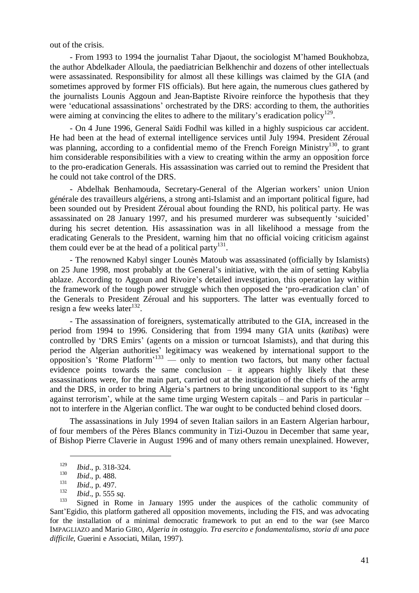out of the crisis.

- From 1993 to 1994 the journalist Tahar Djaout, the sociologist M'hamed Boukhobza, the author Abdelkader Alloula, the paediatrician Belkhenchir and dozens of other intellectuals were assassinated. Responsibility for almost all these killings was claimed by the GIA (and sometimes approved by former FIS officials). But here again, the numerous clues gathered by the journalists Lounis Aggoun and Jean-Baptiste Rivoire reinforce the hypothesis that they were 'educational assassinations' orchestrated by the DRS: according to them, the authorities were aiming at convincing the elites to adhere to the military's eradication policy<sup>129</sup>.

- On 4 June 1996, General Saïdi Fodhil was killed in a highly suspicious car accident. He had been at the head of external intelligence services until July 1994. President Zéroual was planning, according to a confidential memo of the French Foreign Ministry<sup>130</sup>, to grant him considerable responsibilities with a view to creating within the army an opposition force to the pro-eradication Generals. His assassination was carried out to remind the President that he could not take control of the DRS.

- Abdelhak Benhamouda, Secretary-General of the Algerian workers' union Union générale des travailleurs algériens, a strong anti-Islamist and an important political figure, had been sounded out by President Zéroual about founding the RND, his political party. He was assassinated on 28 January 1997, and his presumed murderer was subsequently 'suicided' during his secret detention. His assassination was in all likelihood a message from the eradicating Generals to the President, warning him that no official voicing criticism against them could ever be at the head of a political party<sup>131</sup>.

- The renowned Kabyl singer Lounès Matoub was assassinated (officially by Islamists) on 25 June 1998, most probably at the General's initiative, with the aim of setting Kabylia ablaze. According to Aggoun and Rivoire's detailed investigation, this operation lay within the framework of the tough power struggle which then opposed the 'pro-eradication clan' of the Generals to President Zéroual and his supporters. The latter was eventually forced to resign a few weeks later<sup>132</sup>.

- The assassination of foreigners, systematically attributed to the GIA, increased in the period from 1994 to 1996. Considering that from 1994 many GIA units (*katibas*) were controlled by 'DRS Emirs' (agents on a mission or turncoat Islamists), and that during this period the Algerian authorities' legitimacy was weakened by international support to the opposition's 'Rome Platform'<sup>133</sup> — only to mention two factors, but many other factual evidence points towards the same conclusion  $-$  it appears highly likely that these assassinations were, for the main part, carried out at the instigation of the chiefs of the army and the DRS, in order to bring Algeria's partners to bring unconditional support to its 'fight against terrorism', while at the same time urging Western capitals – and Paris in particular – not to interfere in the Algerian conflict. The war ought to be conducted behind closed doors.

The assassinations in July 1994 of seven Italian sailors in an Eastern Algerian harbour, of four members of the Pères Blancs community in Tizi-Ouzou in December that same year, of Bishop Pierre Claverie in August 1996 and of many others remain unexplained. However,

<sup>&</sup>lt;sup>129</sup> *Ibid.*, p. 318-324.<br><sup>130</sup> *Ibid.* p. 499

<sup>&</sup>lt;sup>130</sup> *Ibid.*, p. 488.

<sup>131</sup> *Ibid*., p. 497.

<sup>132</sup> *Ibid*., p. 555 *sq*.

Signed in Rome in January 1995 under the auspices of the catholic community of Sant'Egidio, this platform gathered all opposition movements, including the FIS, and was advocating for the installation of a minimal democratic framework to put an end to the war (see Marco IMPAGLIAZO and Mario GIRO, *Algeria in ostaggio. Tra esercito e fondamentalismo, storia di una pace difficile*, Guerini e Associati, Milan, 1997).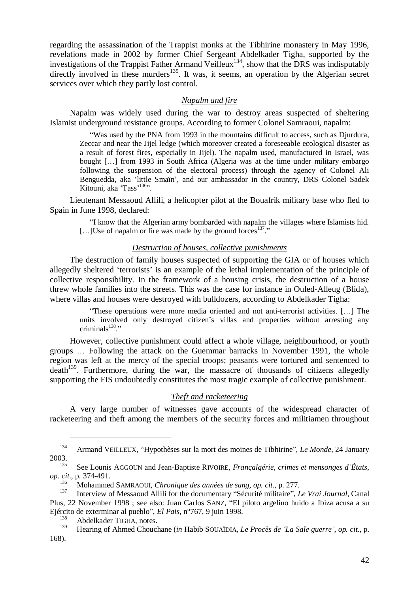regarding the assassination of the Trappist monks at the Tibhirine monastery in May 1996, revelations made in 2002 by former Chief Sergeant Abdelkader Tigha, supported by the investigations of the Trappist Father Armand Veilleux<sup>134</sup>, show that the DRS was indisputably directly involved in these murders<sup>135</sup>. It was, it seems, an operation by the Algerian secret services over which they partly lost control.

#### *Napalm and fire*

Napalm was widely used during the war to destroy areas suspected of sheltering Islamist underground resistance groups. According to former Colonel Samraoui, napalm:

"Was used by the PNA from 1993 in the mountains difficult to access, such as Djurdura, Zeccar and near the Jijel ledge (which moreover created a foreseeable ecological disaster as a result of forest fires, especially in Jijel). The napalm used, manufactured in Israel, was bought [...] from 1993 in South Africa (Algeria was at the time under military embargo following the suspension of the electoral process) through the agency of Colonel Ali Benguedda, aka 'little Smaïn', and our ambassador in the country, DRS Colonel Sadek Kitouni, aka 'Tass'<sup>136</sup>".

Lieutenant Messaoud Allili, a helicopter pilot at the Bouafrik military base who fled to Spain in June 1998, declared:

"I know that the Algerian army bombarded with napalm the villages where Islamists hid. [...] Use of napalm or fire was made by the ground forces  $137$ ."

# *Destruction of houses, collective punishments*

The destruction of family houses suspected of supporting the GIA or of houses which allegedly sheltered 'terrorists' is an example of the lethal implementation of the principle of collective responsibility. In the framework of a housing crisis, the destruction of a house threw whole families into the streets. This was the case for instance in Ouled-Alleug (Blida), where villas and houses were destroyed with bulldozers, according to Abdelkader Tigha:

"These operations were more media oriented and not anti-terrorist activities. […] The units involved only destroyed citizen's villas and properties without arresting any criminals $^{138}$ ."

However, collective punishment could affect a whole village, neighbourhood, or youth groups … Following the attack on the Guemmar barracks in November 1991, the whole region was left at the mercy of the special troops; peasants were tortured and sentenced to  $death<sup>139</sup>$ . Furthermore, during the war, the massacre of thousands of citizens allegedly supporting the FIS undoubtedly constitutes the most tragic example of collective punishment.

# *Theft and racketeering*

A very large number of witnesses gave accounts of the widespread character of racketeering and theft among the members of the security forces and militiamen throughout

<sup>134</sup> Armand VEILLEUX, "Hypothèses sur la mort des moines de Tibhirine", *Le Monde*, 24 January  $2003.$ 

<sup>135</sup> See Lounis AGGOUN and Jean-Baptiste RIVOIRE, *Françalgérie, crimes et mensonges d'États*, *op. cit*., p. 374-491.

<sup>136</sup> Mohammed SAMRAOUI, *Chronique des années de sang*, *op. cit.*, p. 277.

<sup>137</sup> Interview of Messaoud Allili for the documentary "Sécurité militaire", *Le Vrai Journal*, Canal Plus, 22 November 1998 ; see also: Juan Carlos SANZ, "El piloto argelino huido a Ibiza acusa a su Ejército de exterminar al pueblo", *El Pais*, n°767, 9 juin 1998.

<sup>&</sup>lt;sup>138</sup> Abdelkader TIGHA, notes.<br><sup>139</sup> Hearing of Ahmed Chaugh

<sup>139</sup> Hearing of Ahmed Chouchane (*in* Habib SOUAÏDIA, *Le Procès de 'La Sale guerre'*, *op. cit.*, p. 168).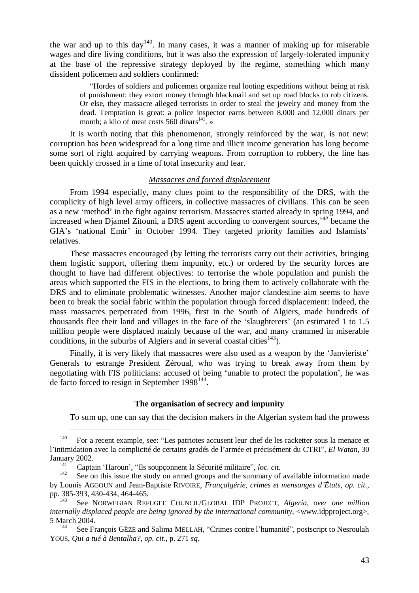the war and up to this day<sup>140</sup>. In many cases, it was a manner of making up for miserable wages and dire living conditions, but it was also the expression of largely-tolerated impunity at the base of the repressive strategy deployed by the regime, something which many dissident policemen and soldiers confirmed:

"Hordes of soldiers and policemen organize real looting expeditions without being at risk of punishment: they extort money through blackmail and set up road blocks to rob citizens. Or else, they massacre alleged terrorists in order to steal the jewelry and money from the dead. Temptation is great: a police inspector earns between 8,000 and 12,000 dinars per month; a kilo of meat costs  $560 \text{ dinars}^{141}$ .

It is worth noting that this phenomenon, strongly reinforced by the war, is not new: corruption has been widespread for a long time and illicit income generation has long become some sort of right acquired by carrying weapons. From corruption to robbery, the line has been quickly crossed in a time of total insecurity and fear.

#### *Massacres and forced displacement*

From 1994 especially, many clues point to the responsibility of the DRS, with the complicity of high level army officers, in collective massacres of civilians. This can be seen as a new 'method' in the fight against terrorism. Massacres started already in spring 1994, and increased when Diamel Zitouni, a DRS agent according to convergent sources,  $\frac{142}{12}$  became the GIA's 'national Emir' in October 1994. They targeted priority families and Islamists' relatives.

These massacres encouraged (by letting the terrorists carry out their activities, bringing them logistic support, offering them impunity, etc.) or ordered by the security forces are thought to have had different objectives: to terrorise the whole population and punish the areas which supported the FIS in the elections, to bring them to actively collaborate with the DRS and to eliminate problematic witnesses. Another major clandestine aim seems to have been to break the social fabric within the population through forced displacement: indeed, the mass massacres perpetrated from 1996, first in the South of Algiers, made hundreds of thousands flee their land and villages in the face of the 'slaughterers' (an estimated 1 to 1.5 million people were displaced mainly because of the war, and many crammed in miserable conditions, in the suburbs of Algiers and in several coastal cities<sup>143</sup>).

Finally, it is very likely that massacres were also used as a weapon by the 'Janvieriste' Generals to estrange President Zéroual, who was trying to break away from them by negotiating with FIS politicians: accused of being 'unable to protect the population', he was de facto forced to resign in September  $1998^{144}$ .

#### **The organisation of secrecy and impunity**

To sum up, one can say that the decision makers in the Algerian system had the prowess

<sup>&</sup>lt;sup>140</sup> For a recent example, see: "Les patriotes accusent leur chef de les racketter sous la menace et l'intimidation avec la complicité de certains gradés de l'armée et précisément du CTRI", *El Watan*, 30 January 2002.

<sup>141</sup> Captain 'Haroun', "Ils soupçonnent la Sécurité militaire", *loc. cit.*

See on this issue the study on armed groups and the summary of available information made by Lounis AGGOUN and Jean-Baptiste RIVOIRE, *Françalgérie, crimes et mensonges d'États*, *op. cit*., pp. 385-393, 430-434, 464-465.

See NORWEGIAN REFUGEE COUNCIL/GLOBAL IDP PROJECT, *Algeria, over one million internally displaced people are being ignored by the international community*, <www.idpproject.org>, 5 March 2004.

See François GÈZE and Salima MELLAH, "Crimes contre l'humanité", postscript to Nesroulah YOUS, *Qui a tué à Bentalha?*, *op. cit*., p. 271 *sq*.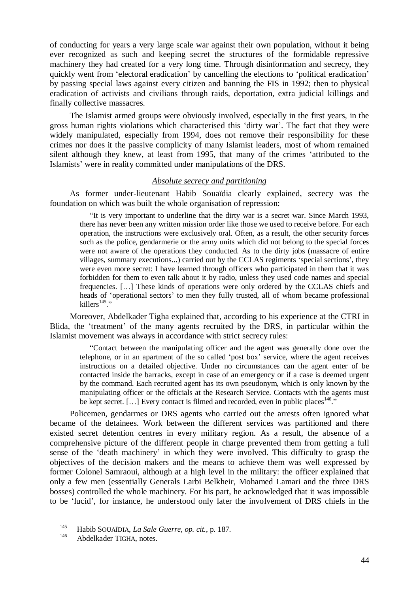of conducting for years a very large scale war against their own population, without it being ever recognized as such and keeping secret the structures of the formidable repressive machinery they had created for a very long time. Through disinformation and secrecy, they quickly went from 'electoral eradication' by cancelling the elections to 'political eradication' by passing special laws against every citizen and banning the FIS in 1992; then to physical eradication of activists and civilians through raids, deportation, extra judicial killings and finally collective massacres.

The Islamist armed groups were obviously involved, especially in the first years, in the gross human rights violations which characterised this 'dirty war'. The fact that they were widely manipulated, especially from 1994, does not remove their responsibility for these crimes nor does it the passive complicity of many Islamist leaders, most of whom remained silent although they knew, at least from 1995, that many of the crimes 'attributed to the Islamists' were in reality committed under manipulations of the DRS.

# *Absolute secrecy and partitioning*

As former under-lieutenant Habib Souaïdia clearly explained, secrecy was the foundation on which was built the whole organisation of repression:

"It is very important to underline that the dirty war is a secret war. Since March 1993, there has never been any written mission order like those we used to receive before. For each operation, the instructions were exclusively oral. Often, as a result, the other security forces such as the police, gendarmerie or the army units which did not belong to the special forces were not aware of the operations they conducted. As to the dirty jobs (massacre of entire villages, summary executions...) carried out by the CCLAS regiments 'special sections', they were even more secret: I have learned through officers who participated in them that it was forbidden for them to even talk about it by radio, unless they used code names and special frequencies. […] These kinds of operations were only ordered by the CCLAS chiefs and heads of 'operational sectors' to men they fully trusted, all of whom became professional killers $^{145}$ ."

Moreover, Abdelkader Tigha explained that, according to his experience at the CTRI in Blida, the 'treatment' of the many agents recruited by the DRS, in particular within the Islamist movement was always in accordance with strict secrecy rules:

"Contact between the manipulating officer and the agent was generally done over the telephone, or in an apartment of the so called 'post box' service, where the agent receives instructions on a detailed objective. Under no circumstances can the agent enter of be contacted inside the barracks, except in case of an emergency or if a case is deemed urgent by the command. Each recruited agent has its own pseudonym, which is only known by the manipulating officer or the officials at the Research Service. Contacts with the agents must be kept secret. [...] Every contact is filmed and recorded, even in public places  $146$ ."

Policemen, gendarmes or DRS agents who carried out the arrests often ignored what became of the detainees. Work between the different services was partitioned and there existed secret detention centres in every military region. As a result, the absence of a comprehensive picture of the different people in charge prevented them from getting a full sense of the 'death machinery' in which they were involved. This difficulty to grasp the objectives of the decision makers and the means to achieve them was well expressed by former Colonel Samraoui, although at a high level in the military: the officer explained that only a few men (essentially Generals Larbi Belkheir, Mohamed Lamari and the three DRS bosses) controlled the whole machinery. For his part, he acknowledged that it was impossible to be 'lucid', for instance, he understood only later the involvement of DRS chiefs in the

<sup>145</sup> Habib SOUAÏDIA, *La Sale Guerre*, *op. cit.*, p. 187.

Abdelkader TIGHA, notes.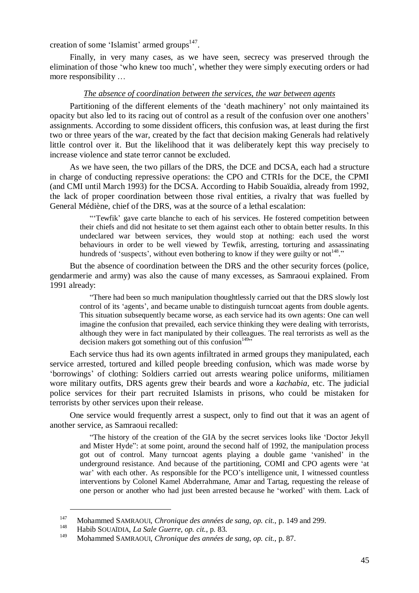creation of some 'Islamist' armed groups<sup>147</sup>.

Finally, in very many cases, as we have seen, secrecy was preserved through the elimination of those 'who knew too much', whether they were simply executing orders or had more responsibility …

#### *The absence of coordination between the services, the war between agents*

Partitioning of the different elements of the 'death machinery' not only maintained its opacity but also led to its racing out of control as a result of the confusion over one anothers' assignments. According to some dissident officers, this confusion was, at least during the first two or three years of the war, created by the fact that decision making Generals had relatively little control over it. But the likelihood that it was deliberately kept this way precisely to increase violence and state terror cannot be excluded.

As we have seen, the two pillars of the DRS, the DCE and DCSA, each had a structure in charge of conducting repressive operations: the CPO and CTRIs for the DCE, the CPMI (and CMI until March 1993) for the DCSA. According to Habib Souaïdia, already from 1992, the lack of proper coordination between those rival entities, a rivalry that was fuelled by General Médiène, chief of the DRS, was at the source of a lethal escalation:

"'Tewfik' gave carte blanche to each of his services. He fostered competition between their chiefs and did not hesitate to set them against each other to obtain better results. In this undeclared war between services, they would stop at nothing: each used the worst behaviours in order to be well viewed by Tewfik, arresting, torturing and assassinating hundreds of 'suspects', without even bothering to know if they were guilty or not  $148$ ."

But the absence of coordination between the DRS and the other security forces (police, gendarmerie and army) was also the cause of many excesses, as Samraoui explained. From 1991 already:

"There had been so much manipulation thoughtlessly carried out that the DRS slowly lost control of its 'agents', and became unable to distinguish turncoat agents from double agents. This situation subsequently became worse, as each service had its own agents: One can well imagine the confusion that prevailed, each service thinking they were dealing with terrorists, although they were in fact manipulated by their colleagues. The real terrorists as well as the decision makers got something out of this confusion<sup>14955</sup>

Each service thus had its own agents infiltrated in armed groups they manipulated, each service arrested, tortured and killed people breeding confusion, which was made worse by 'borrowings' of clothing: Soldiers carried out arrests wearing police uniforms, militiamen wore military outfits, DRS agents grew their beards and wore a *kachabia*, etc. The judicial police services for their part recruited Islamists in prisons, who could be mistaken for terrorists by other services upon their release.

One service would frequently arrest a suspect, only to find out that it was an agent of another service, as Samraoui recalled:

"The history of the creation of the GIA by the secret services looks like 'Doctor Jekyll and Mister Hyde": at some point, around the second half of 1992, the manipulation process got out of control. Many turncoat agents playing a double game 'vanished' in the underground resistance. And because of the partitioning, COMI and CPO agents were 'at war' with each other. As responsible for the PCO's intelligence unit, I witnessed countless interventions by Colonel Kamel Abderrahmane, Amar and Tartag, requesting the release of one person or another who had just been arrested because he 'worked' with them. Lack of

<sup>147</sup> Mohammed SAMRAOUI, *Chronique des années de sang*, *op. cit.*, p. 149 and 299.

<sup>148</sup> Habib SOUAÏDIA, *La Sale Guerre*, *op. cit.*, p. 83.

<sup>149</sup> Mohammed SAMRAOUI, *Chronique des années de sang*, *op. cit.*, p. 87.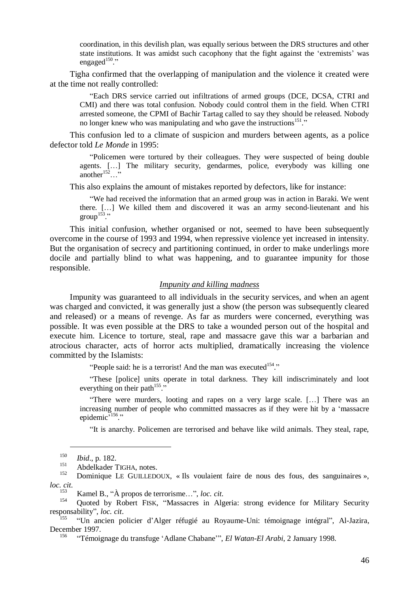coordination, in this devilish plan, was equally serious between the DRS structures and other state institutions. It was amidst such cacophony that the fight against the 'extremists' was engaged $150$ ."

Tigha confirmed that the overlapping of manipulation and the violence it created were at the time not really controlled:

"Each DRS service carried out infiltrations of armed groups (DCE, DCSA, CTRI and CMI) and there was total confusion. Nobody could control them in the field. When CTRI arrested someone, the CPMI of Bachir Tartag called to say they should be released. Nobody no longer knew who was manipulating and who gave the instructions<sup>151</sup>."

This confusion led to a climate of suspicion and murders between agents, as a police defector told *Le Monde* in 1995:

"Policemen were tortured by their colleagues. They were suspected of being double agents. […] The military security, gendarmes, police, everybody was killing one another<sup>152</sup> $\dots$ <sup>5</sup>

This also explains the amount of mistakes reported by defectors, like for instance:

"We had received the information that an armed group was in action in Baraki. We went there. […] We killed them and discovered it was an army second-lieutenant and his group<sup>153</sup>."

This initial confusion, whether organised or not, seemed to have been subsequently overcome in the course of 1993 and 1994, when repressive violence yet increased in intensity. But the organisation of secrecy and partitioning continued, in order to make underlings more docile and partially blind to what was happening, and to guarantee impunity for those responsible.

#### *Impunity and killing madness*

Impunity was guaranteed to all individuals in the security services, and when an agent was charged and convicted, it was generally just a show (the person was subsequently cleared and released) or a means of revenge. As far as murders were concerned, everything was possible. It was even possible at the DRS to take a wounded person out of the hospital and execute him. Licence to torture, steal, rape and massacre gave this war a barbarian and atrocious character, acts of horror acts multiplied, dramatically increasing the violence committed by the Islamists:

"People said: he is a terrorist! And the man was executed $154$ ."

"These [police] units operate in total darkness. They kill indiscriminately and loot everything on their path $155$ ."

"There were murders, looting and rapes on a very large scale. […] There was an increasing number of people who committed massacres as if they were hit by a 'massacre epidemic<sup>7156</sup>."

"It is anarchy. Policemen are terrorised and behave like wild animals. They steal, rape,

<sup>150</sup> *Ibid*., p. 182.

 $^{151}$  Abdelkader TIGHA, notes.

<sup>152</sup> Dominique LE GUILLEDOUX, « Ils voulaient faire de nous des fous, des sanguinaires », *loc. cit*.

<sup>153</sup> Kamel B., "À propos de terrorisme…", *loc. cit*.

Quoted by Robert FISK, "Massacres in Algeria: strong evidence for Military Security responsability", *loc. cit*.

<sup>155</sup> "Un ancien policier d'Alger réfugié au Royaume-Uni: témoignage intégral", Al-Jazira, December 1997.

<sup>156</sup> "Témoignage du transfuge 'Adlane Chabane'", *El Watan-El Arabi*, 2 January 1998.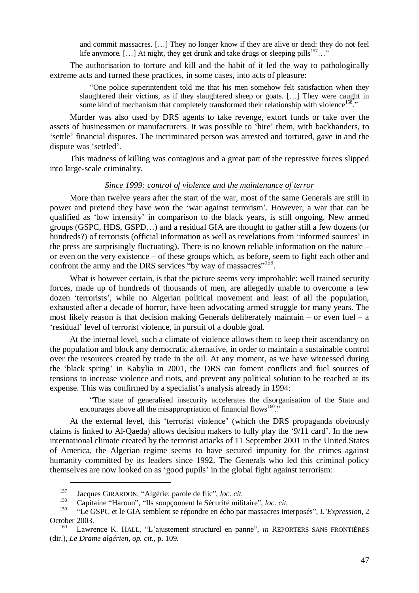and commit massacres. […] They no longer know if they are alive or dead: they do not feel life anymore. [...] At night, they get drunk and take drugs or sleeping pills<sup>157</sup>..."

The authorisation to torture and kill and the habit of it led the way to pathologically extreme acts and turned these practices, in some cases, into acts of pleasure:

"One police superintendent told me that his men somehow felt satisfaction when they slaughtered their victims, as if they slaughtered sheep or goats. […] They were caught in some kind of mechanism that completely transformed their relationship with violence<sup>158</sup>."

Murder was also used by DRS agents to take revenge, extort funds or take over the assets of businessmen or manufacturers. It was possible to 'hire' them, with backhanders, to 'settle' financial disputes. The incriminated person was arrested and tortured, gave in and the dispute was 'settled'.

This madness of killing was contagious and a great part of the repressive forces slipped into large-scale criminality.

## *Since 1999: control of violence and the maintenance of terror*

More than twelve years after the start of the war, most of the same Generals are still in power and pretend they have won the 'war against terrorism'. However, a war that can be qualified as 'low intensity' in comparison to the black years, is still ongoing. New armed groups (GSPC, HDS, GSPD…) and a residual GIA are thought to gather still a few dozens (or hundreds?) of terrorists (official information as well as revelations from 'informed sources' in the press are surprisingly fluctuating). There is no known reliable information on the nature – or even on the very existence – of these groups which, as before, seem to fight each other and confront the army and the DRS services "by way of massacres"<sup>159</sup>.

What is however certain, is that the picture seems very improbable: well trained security forces, made up of hundreds of thousands of men, are allegedly unable to overcome a few dozen 'terrorists', while no Algerian political movement and least of all the population, exhausted after a decade of horror, have been advocating armed struggle for many years. The most likely reason is that decision making Generals deliberately maintain – or even fuel – a 'residual' level of terrorist violence, in pursuit of a double goal.

At the internal level, such a climate of violence allows them to keep their ascendancy on the population and block any democratic alternative, in order to maintain a sustainable control over the resources created by trade in the oil. At any moment, as we have witnessed during the 'black spring' in Kabylia in 2001, the DRS can foment conflicts and fuel sources of tensions to increase violence and riots, and prevent any political solution to be reached at its expense. This was confirmed by a specialist's analysis already in 1994:

"The state of generalised insecurity accelerates the disorganisation of the State and encourages above all the misappropriation of financial flows<sup>160</sup>.

At the external level, this 'terrorist violence' (which the DRS propaganda obviously claims is linked to Al-Qaeda) allows decision makers to fully play the '9/11 card'. In the new international climate created by the terrorist attacks of 11 September 2001 in the United States of America, the Algerian regime seems to have secured impunity for the crimes against humanity committed by its leaders since 1992. The Generals who led this criminal policy themselves are now looked on as 'good pupils' in the global fight against terrorism:

<sup>157</sup> Jacques GIRARDON, "Algérie: parole de flic", *loc. cit.*

<sup>158</sup> Capitaine "Haroun", "Ils soupçonnent la Sécurité militaire", *loc. cit.*

<sup>159</sup> "Le GSPC et le GIA semblent se répondre en écho par massacres interposés", *L'Expression*, 2 October 2003.

Lawrence K. HALL, "L'ajustement structurel en panne", *in* REPORTERS SANS FRONTIÈRES (dir.), *Le Drame algérien*, *op. cit*., p. 109.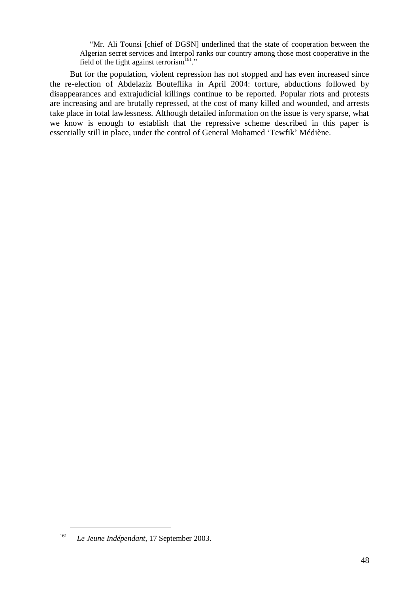"Mr. Ali Tounsi [chief of DGSN] underlined that the state of cooperation between the Algerian secret services and Interpol ranks our country among those most cooperative in the field of the fight against terrorism<sup>161</sup>."

But for the population, violent repression has not stopped and has even increased since the re-election of Abdelaziz Bouteflika in April 2004: torture, abductions followed by disappearances and extrajudicial killings continue to be reported. Popular riots and protests are increasing and are brutally repressed, at the cost of many killed and wounded, and arrests take place in total lawlessness. Although detailed information on the issue is very sparse, what we know is enough to establish that the repressive scheme described in this paper is essentially still in place, under the control of General Mohamed 'Tewfik' Médiène.

<sup>161</sup> *Le Jeune Indépendant*, 17 September 2003.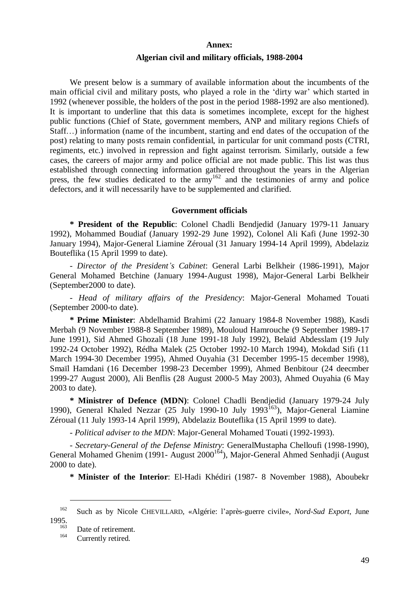# **Annex: Algerian civil and military officials, 1988-2004**

We present below is a summary of available information about the incumbents of the main official civil and military posts, who played a role in the 'dirty war' which started in 1992 (whenever possible, the holders of the post in the period 1988-1992 are also mentioned). It is important to underline that this data is sometimes incomplete, except for the highest public functions (Chief of State, government members, ANP and military regions Chiefs of Staff…) information (name of the incumbent, starting and end dates of the occupation of the post) relating to many posts remain confidential, in particular for unit command posts (CTRI, regiments, etc.) involved in repression and fight against terrorism. Similarly, outside a few cases, the careers of major army and police official are not made public. This list was thus established through connecting information gathered throughout the years in the Algerian press, the few studies dedicated to the army<sup>162</sup> and the testimonies of army and police defectors, and it will necessarily have to be supplemented and clarified.

#### **Government officials**

**\* President of the Republic**: Colonel Chadli Bendjedid (January 1979-11 January 1992), Mohammed Boudiaf (January 1992-29 June 1992), Colonel Ali Kafi (June 1992-30 January 1994), Major-General Liamine Zéroual (31 January 1994-14 April 1999), Abdelaziz Bouteflika (15 April 1999 to date).

- *Director of the President's Cabinet*: General Larbi Belkheir (1986-1991), Major General Mohamed Betchine (January 1994-August 1998), Major-General Larbi Belkheir (September2000 to date).

- *Head of military affairs of the Presidency*: Major-General Mohamed Touati (September 2000-to date).

**\* Prime Minister**: Abdelhamid Brahimi (22 January 1984-8 November 1988), Kasdi Merbah (9 November 1988-8 September 1989), Mouloud Hamrouche (9 September 1989-17 June 1991), Sid Ahmed Ghozali (18 June 1991-18 July 1992), Belaïd Abdesslam (19 July 1992-24 October 1992), Rédha Malek (25 October 1992-10 March 1994), Mokdad Sifi (11 March 1994-30 December 1995), Ahmed Ouyahia (31 December 1995-15 december 1998), Smaïl Hamdani (16 December 1998-23 December 1999), Ahmed Benbitour (24 deecmber 1999-27 August 2000), Ali Benflis (28 August 2000-5 May 2003), Ahmed Ouyahia (6 May 2003 to date).

**\* Ministrer of Defence (MDN)**: Colonel Chadli Bendjedid (January 1979-24 July 1990), General Khaled Nezzar (25 July 1990-10 July 1993 $^{163}$ ), Major-General Liamine Zéroual (11 July 1993-14 April 1999), Abdelaziz Bouteflika (15 April 1999 to date).

- *Political adviser to the MDN*: Major-General Mohamed Touati (1992-1993).

- *Secretary-General of the Defense Ministry*: GeneralMustapha Chelloufi (1998-1990), General Mohamed Ghenim (1991- August 2000<sup>164</sup>), Major-General Ahmed Senhadji (August 2000 to date).

**\* Minister of the Interior**: El-Hadi Khédiri (1987- 8 November 1988), Aboubekr

<sup>162</sup> Such as by Nicole CHEVILLARD, «Algérie: l'après-guerre civile», *Nord-Sud Export*, June  $1995.$ 

 $\frac{163}{164}$  Date of retirement.

Currently retired.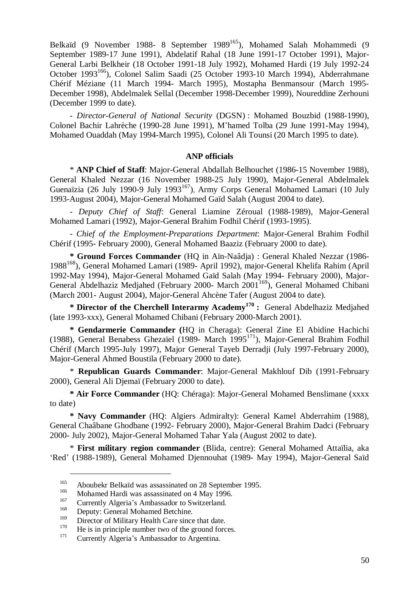Belkaïd (9 November 1988- 8 September 1989<sup>165</sup>), Mohamed Salah Mohammedi (9 September 1989-17 June 1991), Abdelatif Rahal (18 June 1991-17 October 1991), Major-General Larbi Belkheir (18 October 1991-18 July 1992), Mohamed Hardi (19 July 1992-24 October 1993<sup>166</sup>), Colonel Salim Saadi (25 October 1993-10 March 1994), Abderrahmane Chérif Méziane (11 March 1994- March 1995), Mostapha Benmansour (March 1995- December 1998), Abdelmalek Sellal (December 1998-December 1999), Noureddine Zerhouni (December 1999 to date).

- *Director-General of National Security* (DGSN) : Mohamed Bouzbid (1988-1990), Colonel Bachir Lahrèche (1990-28 June 1991), M'hamed Tolba (29 June 1991-May 1994), Mohamed Ouaddah (May 1994-March 1995), Colonel Ali Tounsi (20 March 1995 to date).

#### **ANP officials**

\* **ANP Chief of Staff**: Major-General Abdallah Belhouchet (1986-15 November 1988), General Khaled Nezzar (16 November 1988-25 July 1990), Major-General Abdelmalek Guenaïzia (26 July 1990-9 July 1993<sup>167</sup>), Army Corps General Mohamed Lamari (10 July 1993-August 2004), Major-General Mohamed Gaïd Salah (August 2004 to date).

- *Deputy Chief of Staff*: General Liamine Zéroual (1988-1989), Major-General Mohamed Lamari (1992), Major-General Brahim Fodhil Chérif (1993-1995).

- *Chief of the Employment-Preparations Department*: Major-General Brahim Fodhil Chérif (1995- February 2000), General Mohamed Baaziz (February 2000 to date).

**\* Ground Forces Commander** (HQ in Aïn-Naâdja) : General Khaled Nezzar (1986- 1988<sup>168</sup>), General Mohamed Lamari (1989- April 1992), major-General Khelifa Rahim (April 1992-May 1994), Major-General Mohamed Gaïd Salah (May 1994- February 2000), Major-General Abdelhaziz Medjahed (February 2000- March 2001<sup>169</sup>), General Mohamed Chibani (March 2001- August 2004), Major-General Ahcène Tafer (August 2004 to date).

**\* Director of the Cherchell Interarmy Academy<sup>170</sup> :** General Abdelhaziz Medjahed (late 1993-xxx), General Mohamed Chibani (February 2000-March 2001).

**\* Gendarmerie Commander (**HQ in Cheraga): General Zine El Abidine Hachichi (1988), General Benabess Ghezaïel (1989- March 1995<sup>171</sup>), Major-General Brahim Fodhil Chérif (March 1995-July 1997), Major General Tayeb Derradji (July 1997-February 2000), Major-General Ahmed Boustila (February 2000 to date).

\* **Republican Guards Commander**: Major-General Makhlouf Dib (1991-February 2000), General Ali Djemaï (February 2000 to date).

**\* Air Force Commander** (HQ: Chéraga): Major-General Mohamed Benslimane (xxxx to date)

**\* Navy Commander** (HQ: Algiers Admiralty): General Kamel Abderrahim (1988), General Chaâbane Ghodbane (1992- February 2000), Major-General Brahim Dadci (February 2000- July 2002), Major-General Mohamed Tahar Yala (August 2002 to date).

\* **First military region commander** (Blida, centre): General Mohamed Attaïlia, aka 'Red' (1988-1989), General Mohamed Djennouhat (1989- May 1994), Major-General Saïd

<sup>&</sup>lt;sup>165</sup> Aboubekr Belkaïd was assassinated on 28 September 1995.

 $\frac{166}{167}$  Mohamed Hardi was assassinated on 4 May 1996.

<sup>&</sup>lt;sup>167</sup> Currently Algeria's Ambassador to Switzerland.

<sup>&</sup>lt;sup>168</sup> Deputy: General Mohamed Betchine.<br><sup>169</sup> Director of Military Health Gare since

<sup>&</sup>lt;sup>169</sup> Director of Military Health Care since that date.<br><sup>170</sup> He is in principle number two of the ground force

<sup>&</sup>lt;sup>170</sup> He is in principle number two of the ground forces.<br><sup>171</sup> Currently Algoria's Ambassador to Argorina.

Currently Algeria's Ambassador to Argentina.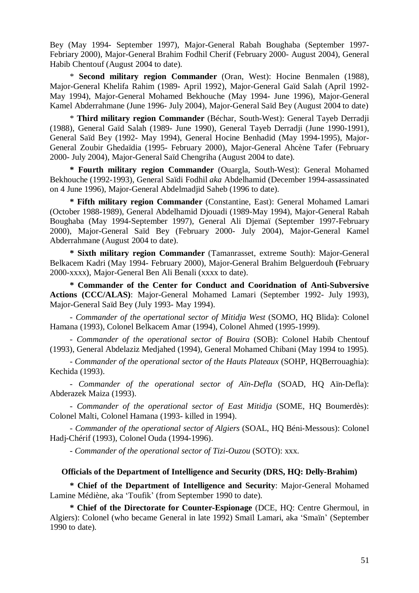Bey (May 1994- September 1997), Major-General Rabah Boughaba (September 1997- Febriary 2000), Major-General Brahim Fodhil Cherif (February 2000- August 2004), General Habib Chentouf (August 2004 to date).

\* **Second military region Commander** (Oran, West): Hocine Benmalen (1988), Major-General Khelifa Rahim (1989- April 1992), Major-General Gaïd Salah (April 1992- May 1994), Major-General Mohamed Bekhouche (May 1994- June 1996), Major-General Kamel Abderrahmane (June 1996- July 2004), Major-General Saïd Bey (August 2004 to date)

\* **Third military region Commander** (Béchar, South-West): General Tayeb Derradji (1988), General Gaïd Salah (1989- June 1990), General Tayeb Derradji (June 1990-1991), General Saïd Bey (1992- May 1994), General Hocine Benhadid (May 1994-1995), Major-General Zoubir Ghedaïdia (1995- February 2000), Major-General Ahcène Tafer (February 2000- July 2004), Major-General Saïd Chengriha (August 2004 to date).

**\* Fourth military region Commander** (Ouargla, South-West): General Mohamed Bekhouche (1992-1993), General Saïdi Fodhil *aka* Abdelhamid (December 1994-assassinated on 4 June 1996), Major-General Abdelmadjid Saheb (1996 to date).

**\* Fifth military region Commander** (Constantine, East): General Mohamed Lamari (October 1988-1989), General Abdelhamid Djouadi (1989-May 1994), Major-General Rabah Boughaba (May 1994-September 1997), General Ali Djemaï (September 1997-February 2000), Major-General Saïd Bey (February 2000- July 2004), Major-General Kamel Abderrahmane (August 2004 to date).

**\* Sixth military region Commander** (Tamanrasset, extreme South): Major-General Belkacem Kadri (May 1994- February 2000), Major-General Brahim Belguerdouh **(**February 2000-xxxx), Major-General Ben Ali Benali (xxxx to date).

**\* Commander of the Center for Conduct and Cooridnation of Anti-Subversive Actions (CCC/ALAS)**: Major-General Mohamed Lamari (September 1992- July 1993), Major-General Saïd Bey (July 1993- May 1994).

- *Commander of the opertational sector of Mitidja West* (SOMO, HQ Blida): Colonel Hamana (1993), Colonel Belkacem Amar (1994), Colonel Ahmed (1995-1999).

- *Commander of the operational sector of Bouira* (SOB): Colonel Habib Chentouf (1993), General Abdelaziz Medjahed (1994), General Mohamed Chibani (May 1994 to 1995).

- *Commander of the operational sector of the Hauts Plateaux* (SOHP, HQBerrouaghia): Kechida (1993).

- *Commander of the operational sector of Aïn-Defla* (SOAD, HQ Aïn-Defla): Abderazek Maiza (1993).

- *Commander of the operational sector of East Mitidja* (SOME, HQ Boumerdès): Colonel Malti, Colonel Hamana (1993- killed in 1994).

- *Commander of the operational sector of Algiers* (SOAL, HQ Béni-Messous): Colonel Hadj-Chérif (1993), Colonel Ouda (1994-1996).

- *Commander of the operational sector of Tizi-Ouzou* (SOTO): xxx.

#### **Officials of the Department of Intelligence and Security (DRS, HQ: Delly-Brahim)**

**\* Chief of the Department of Intelligence and Security**: Major-General Mohamed Lamine Médiène, aka 'Toufik' (from September 1990 to date).

**\* Chief of the Directorate for Counter-Espionage** (DCE, HQ: Centre Ghermoul, in Algiers): Colonel (who became General in late 1992) Smaïl Lamari, aka 'Smaïn' (September 1990 to date).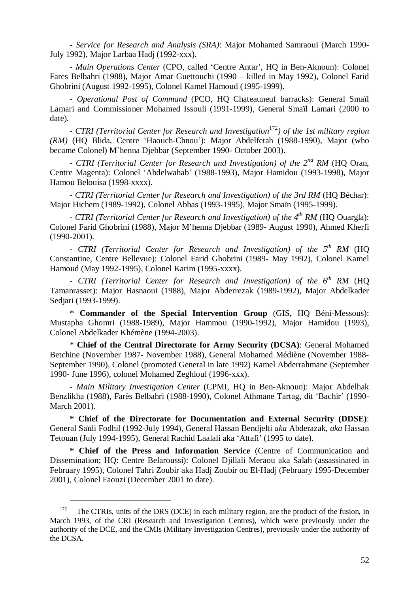**-** *Service for Research and Analysis (SRA)*: Major Mohamed Samraoui (March 1990- July 1992), Major Larbaa Hadj (1992-xxx).

- *Main Operations Center* (CPO, called 'Centre Antar', HQ in Ben-Aknoun): Colonel Fares Belbahri (1988), Major Amar Guettouchi (1990 – killed in May 1992), Colonel Farid Ghobrini (August 1992-1995), Colonel Kamel Hamoud (1995-1999).

- *Operational Post of Command* (PCO, HQ Chateauneuf barracks): General Smaïl Lamari and Commissioner Mohamed Issouli (1991-1999), General Smaïl Lamari (2000 to date).

*- CTRI (Territorial Center for Research and Investigation*<sup>172</sup>*) of the 1st military region (RM)* (HQ Blida, Centre 'Haouch-Chnou'): Major Abdelfetah (1988-1990), Major (who became Colonel) M'henna Djebbar (September 1990- October 2003).

*- CTRI (Territorial Center for Research and Investigation) of the 2nd RM* (HQ Oran, Centre Magenta): Colonel 'Abdelwahab' (1988-1993), Major Hamidou (1993-1998), Major Hamou Belouisa (1998-xxxx).

*- CTRI (Territorial Center for Research and Investigation) of the 3rd RM* (HQ Béchar): Major Hichem (1989-1992), Colonel Abbas (1993-1995), Major Smaïn (1995-1999).

*- CTRI (Territorial Center for Research and Investigation) of the 4th RM* (HQ Ouargla): Colonel Farid Ghobrini (1988), Major M'henna Djebbar (1989- August 1990), Ahmed Kherfi (1990-2001).

*- CTRI (Territorial Center for Research and Investigation) of the 5th RM* (HQ Constantine, Centre Bellevue): Colonel Farid Ghobrini (1989- May 1992), Colonel Kamel Hamoud (May 1992-1995), Colonel Karim (1995-xxxx).

*- CTRI (Territorial Center for Research and Investigation) of the 6th RM* (HQ Tamanrasset): Major Hasnaoui (1988), Major Abderrezak (1989-1992), Major Abdelkader Sedjari (1993-1999).

\* **Commander of the Special Intervention Group** (GIS, HQ Béni-Messous): Mustapha Ghomri (1988-1989), Major Hammou (1990-1992), Major Hamidou (1993), Colonel Abdelkader Khémène (1994-2003).

\* **Chief of the Central Directorate for Army Security (DCSA)**: General Mohamed Betchine (November 1987- November 1988), General Mohamed Médiène (November 1988- September 1990), Colonel (promoted General in late 1992) Kamel Abderrahmane (September 1990- June 1996), colonel Mohamed Zeghloul (1996-xxx).

- *Main Military Investigation Center* (CPMI, HQ in Ben-Aknoun): Major Abdelhak Benzlikha (1988), Farès Belbahri (1988-1990), Colonel Athmane Tartag, dit 'Bachir' (1990- March 2001).

**\* Chief of the Directorate for Documentation and External Security (DDSE)**: General Saïdi Fodhil (1992-July 1994), General Hassan Bendjelti *aka* Abderazak, *aka* Hassan Tetouan (July 1994-1995), General Rachid Laalali aka 'Attafi' (1995 to date).

**\* Chief of the Press and Information Service** (Centre of Communication and Dissemination; HQ: Centre Belaroussi): Colonel Djillali Meraou aka Salah (assassinated in February 1995), Colonel Tahri Zoubir aka Hadj Zoubir ou El-Hadj (February 1995-December 2001), Colonel Faouzi (December 2001 to date).

<sup>&</sup>lt;sup>172</sup> The CTRIs, units of the DRS (DCE) in each military region, are the product of the fusion, in March 1993, of the CRI (Research and Investigation Centres), which were previously under the authority of the DCE, and the CMIs (Military Investigation Centres), previously under the authority of the DCSA.